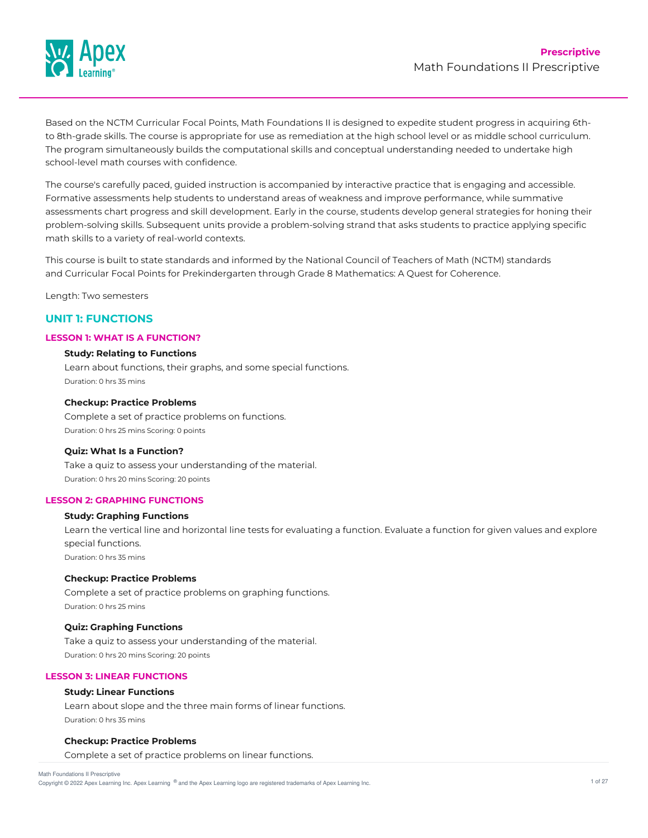

Based on the NCTM Curricular Focal Points, Math Foundations II is designed to expedite student progress in acquiring 6thto 8th-grade skills. The course is appropriate for use as remediation at the high school level or as middle school curriculum. The program simultaneously builds the computational skills and conceptual understanding needed to undertake high school-level math courses with confidence.

The course's carefully paced, guided instruction is accompanied by interactive practice that is engaging and accessible. Formative assessments help students to understand areas of weakness and improve performance, while summative assessments chart progress and skill development. Early in the course, students develop general strategies for honing their problem-solving skills. Subsequent units provide a problem-solving strand that asks students to practice applying specific math skills to a variety of real-world contexts.

This course is built to state standards and informed by the National Council of Teachers of Math (NCTM) standards and Curricular Focal Points for Prekindergarten through Grade 8 Mathematics: A Quest for Coherence.

Length: Two semesters

# **UNIT 1: FUNCTIONS**

### **LESSON 1: WHAT IS A FUNCTION?**

## **Study: Relating to Functions**

Learn about functions, their graphs, and some special functions. Duration: 0 hrs 35 mins

### **Checkup: Practice Problems**

Complete a set of practice problems on functions. Duration: 0 hrs 25 mins Scoring: 0 points

#### **Quiz: What Is a Function?**

Take a quiz to assess your understanding of the material. Duration: 0 hrs 20 mins Scoring: 20 points

# **LESSON 2: GRAPHING FUNCTIONS**

## **Study: Graphing Functions**

Learn the vertical line and horizontal line tests for evaluating a function. Evaluate a function for given values and explore special functions. Duration: 0 hrs 35 mins

## **Checkup: Practice Problems**

Complete a set of practice problems on graphing functions. Duration: 0 hrs 25 mins

## **Quiz: Graphing Functions**

Take a quiz to assess your understanding of the material. Duration: 0 hrs 20 mins Scoring: 20 points

## **LESSON 3: LINEAR FUNCTIONS**

#### **Study: Linear Functions**

Learn about slope and the three main forms of linear functions. Duration: 0 hrs 35 mins

### **Checkup: Practice Problems**

Complete a set of practice problems on linear functions.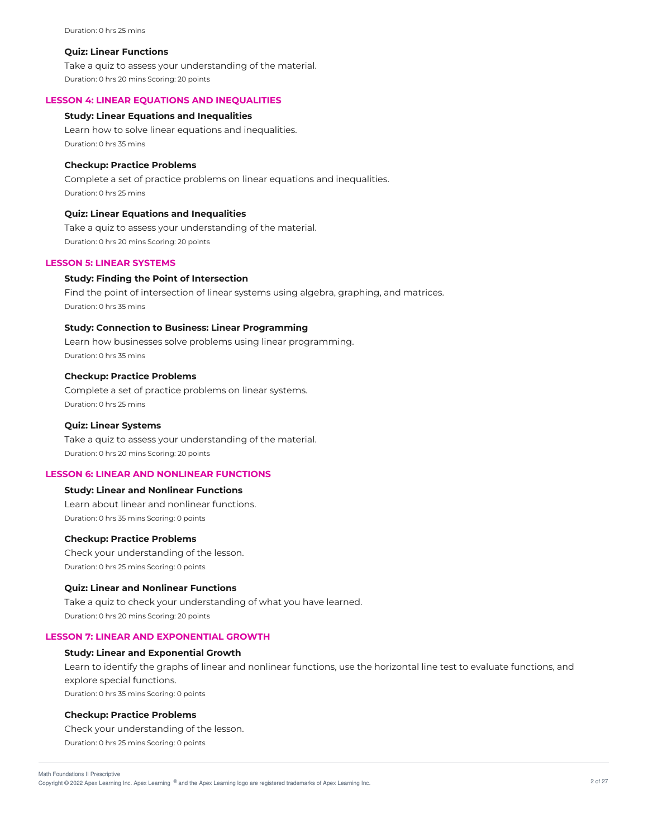Duration: 0 hrs 25 mins

## **Quiz: Linear Functions**

Take a quiz to assess your understanding of the material. Duration: 0 hrs 20 mins Scoring: 20 points

# **LESSON 4: LINEAR EQUATIONS AND INEQUALITIES**

# **Study: Linear Equations and Inequalities**

Learn how to solve linear equations and inequalities. Duration: 0 hrs 35 mins

# **Checkup: Practice Problems**

Complete a set of practice problems on linear equations and inequalities. Duration: 0 hrs 25 mins

# **Quiz: Linear Equations and Inequalities**

Take a quiz to assess your understanding of the material. Duration: 0 hrs 20 mins Scoring: 20 points

# **LESSON 5: LINEAR SYSTEMS**

# **Study: Finding the Point of Intersection**

Find the point of intersection of linear systems using algebra, graphing, and matrices. Duration: 0 hrs 35 mins

# **Study: Connection to Business: Linear Programming**

Learn how businesses solve problems using linear programming. Duration: 0 hrs 35 mins

# **Checkup: Practice Problems**

Complete a set of practice problems on linear systems. Duration: 0 hrs 25 mins

# **Quiz: Linear Systems**

Take a quiz to assess your understanding of the material. Duration: 0 hrs 20 mins Scoring: 20 points

# **LESSON 6: LINEAR AND NONLINEAR FUNCTIONS**

## **Study: Linear and Nonlinear Functions**

Learn about linear and nonlinear functions. Duration: 0 hrs 35 mins Scoring: 0 points

## **Checkup: Practice Problems**

Check your understanding of the lesson. Duration: 0 hrs 25 mins Scoring: 0 points

# **Quiz: Linear and Nonlinear Functions**

Take a quiz to check your understanding of what you have learned. Duration: 0 hrs 20 mins Scoring: 20 points

# **LESSON 7: LINEAR AND EXPONENTIAL GROWTH**

# **Study: Linear and Exponential Growth**

Learn to identify the graphs of linear and nonlinear functions, use the horizontal line test to evaluate functions, and explore special functions. Duration: 0 hrs 35 mins Scoring: 0 points

# **Checkup: Practice Problems**

Check your understanding of the lesson.

Duration: 0 hrs 25 mins Scoring: 0 points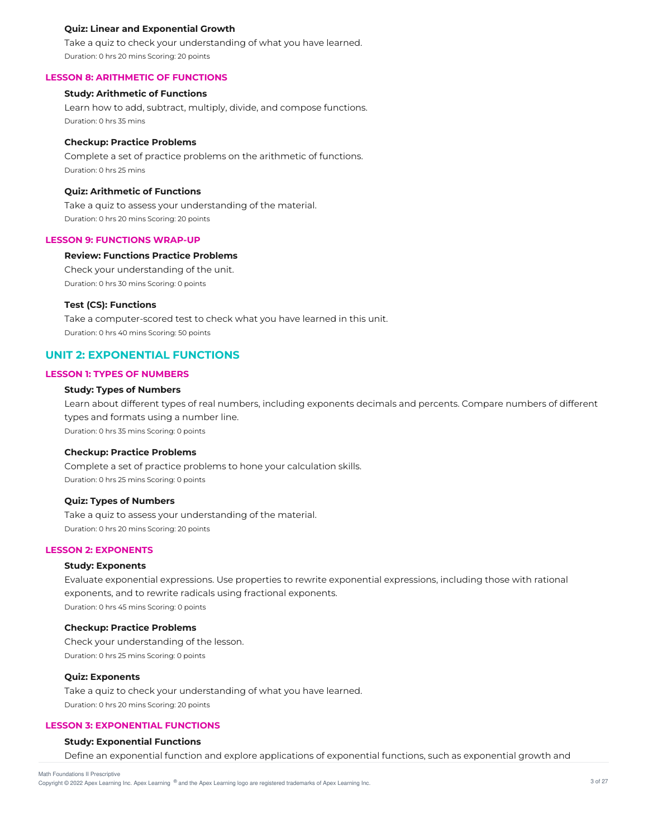### **Quiz: Linear and Exponential Growth**

Take a quiz to check your understanding of what you have learned. Duration: 0 hrs 20 mins Scoring: 20 points

#### **LESSON 8: ARITHMETIC OF FUNCTIONS**

## **Study: Arithmetic of Functions**

Learn how to add, subtract, multiply, divide, and compose functions. Duration: 0 hrs 35 mins

#### **Checkup: Practice Problems**

Complete a set of practice problems on the arithmetic of functions. Duration: 0 hrs 25 mins

## **Quiz: Arithmetic of Functions**

Take a quiz to assess your understanding of the material. Duration: 0 hrs 20 mins Scoring: 20 points

#### **LESSON 9: FUNCTIONS WRAP-UP**

#### **Review: Functions Practice Problems**

Check your understanding of the unit.

Duration: 0 hrs 30 mins Scoring: 0 points

### **Test (CS): Functions**

Take a computer-scored test to check what you have learned in this unit. Duration: 0 hrs 40 mins Scoring: 50 points

# **UNIT 2: EXPONENTIAL FUNCTIONS**

#### **LESSON 1: TYPES OF NUMBERS**

### **Study: Types of Numbers**

Learn about different types of real numbers, including exponents decimals and percents. Compare numbers of different types and formats using a number line. Duration: 0 hrs 35 mins Scoring: 0 points

#### **Checkup: Practice Problems**

Complete a set of practice problems to hone your calculation skills. Duration: 0 hrs 25 mins Scoring: 0 points

### **Quiz: Types of Numbers**

Take a quiz to assess your understanding of the material. Duration: 0 hrs 20 mins Scoring: 20 points

#### **LESSON 2: EXPONENTS**

#### **Study: Exponents**

Evaluate exponential expressions. Use properties to rewrite exponential expressions, including those with rational exponents, and to rewrite radicals using fractional exponents. Duration: 0 hrs 45 mins Scoring: 0 points

#### **Checkup: Practice Problems**

Check your understanding of the lesson. Duration: 0 hrs 25 mins Scoring: 0 points

#### **Quiz: Exponents**

Take a quiz to check your understanding of what you have learned. Duration: 0 hrs 20 mins Scoring: 20 points

## **LESSON 3: EXPONENTIAL FUNCTIONS**

#### **Study: Exponential Functions**

Define an exponential function and explore applications of exponential functions, such as exponential growth and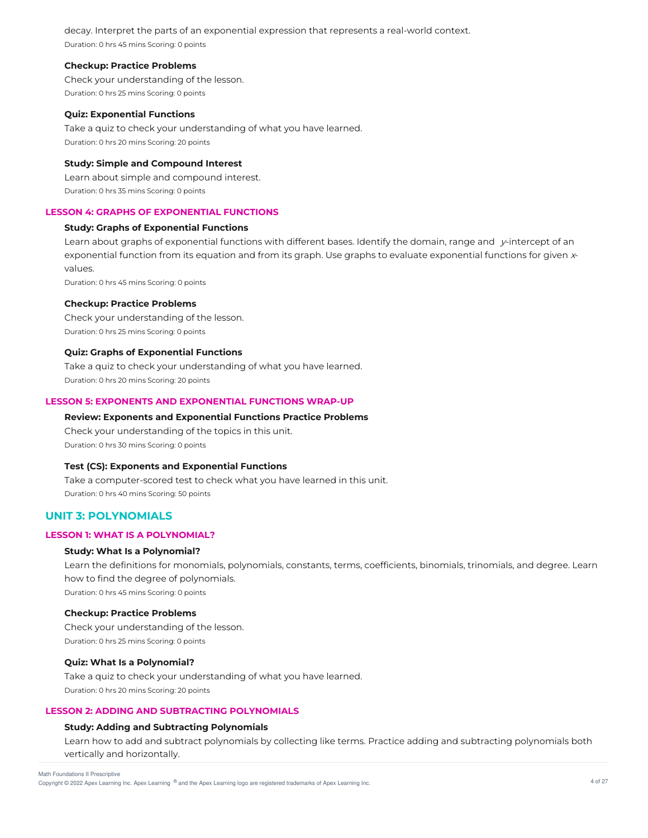decay. Interpret the parts of an exponential expression that represents a real-world context. Duration: 0 hrs 45 mins Scoring: 0 points

### **Checkup: Practice Problems**

Check your understanding of the lesson. Duration: 0 hrs 25 mins Scoring: 0 points

#### **Quiz: Exponential Functions**

Take a quiz to check your understanding of what you have learned. Duration: 0 hrs 20 mins Scoring: 20 points

#### **Study: Simple and Compound Interest**

Learn about simple and compound interest. Duration: 0 hrs 35 mins Scoring: 0 points

### **LESSON 4: GRAPHS OF EXPONENTIAL FUNCTIONS**

### **Study: Graphs of Exponential Functions**

Learn about graphs of exponential functions with different bases. Identify the domain, range and  $y$ -intercept of an exponential function from its equation and from its graph. Use graphs to evaluate exponential functions for given xvalues.

Duration: 0 hrs 45 mins Scoring: 0 points

#### **Checkup: Practice Problems**

Check your understanding of the lesson. Duration: 0 hrs 25 mins Scoring: 0 points

### **Quiz: Graphs of Exponential Functions**

Take a quiz to check your understanding of what you have learned. Duration: 0 hrs 20 mins Scoring: 20 points

## **LESSON 5: EXPONENTS AND EXPONENTIAL FUNCTIONS WRAP-UP**

## **Review: Exponents and Exponential Functions Practice Problems**

Check your understanding of the topics in this unit. Duration: 0 hrs 30 mins Scoring: 0 points

#### **Test (CS): Exponents and Exponential Functions**

Take a computer-scored test to check what you have learned in this unit. Duration: 0 hrs 40 mins Scoring: 50 points

# **UNIT 3: POLYNOMIALS**

# **LESSON 1: WHAT IS A POLYNOMIAL?**

### **Study: What Is a Polynomial?**

Learn the definitions for monomials, polynomials, constants, terms, coefficients, binomials, trinomials, and degree. Learn how to find the degree of polynomials. Duration: 0 hrs 45 mins Scoring: 0 points

#### **Checkup: Practice Problems**

Check your understanding of the lesson. Duration: 0 hrs 25 mins Scoring: 0 points

#### **Quiz: What Is a Polynomial?**

Take a quiz to check your understanding of what you have learned. Duration: 0 hrs 20 mins Scoring: 20 points

# **LESSON 2: ADDING AND SUBTRACTING POLYNOMIALS**

### **Study: Adding and Subtracting Polynomials**

Learn how to add and subtract polynomials by collecting like terms. Practice adding and subtracting polynomials both vertically and horizontally.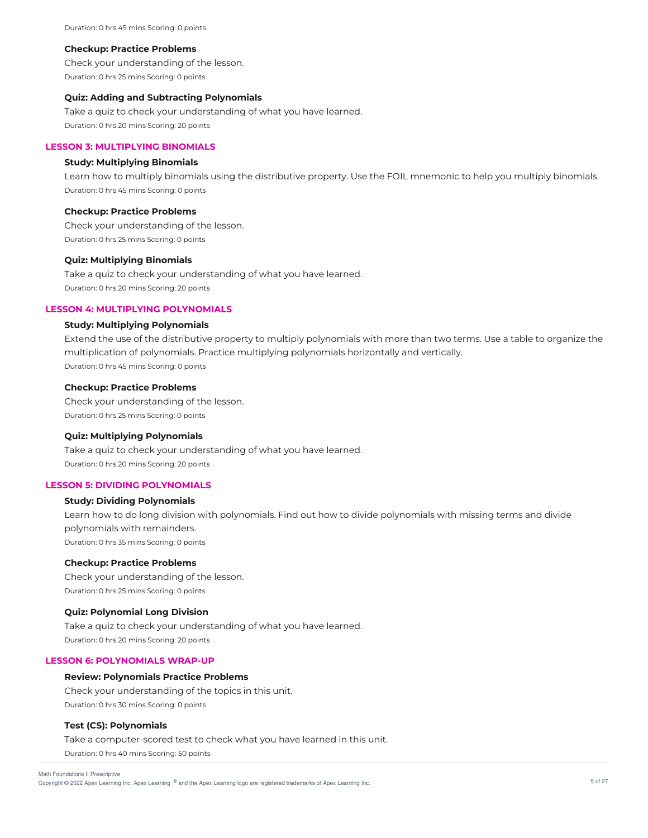#### **Checkup: Practice Problems**

Check your understanding of the lesson. Duration: 0 hrs 25 mins Scoring: 0 points

## **Quiz: Adding and Subtracting Polynomials**

Take a quiz to check your understanding of what you have learned. Duration: 0 hrs 20 mins Scoring: 20 points

# **LESSON 3: MULTIPLYING BINOMIALS**

### **Study: Multiplying Binomials**

Learn how to multiply binomials using the distributive property. Use the FOIL mnemonic to help you multiply binomials. Duration: 0 hrs 45 mins Scoring: 0 points

#### **Checkup: Practice Problems**

Check your understanding of the lesson. Duration: 0 hrs 25 mins Scoring: 0 points

#### **Quiz: Multiplying Binomials**

Take a quiz to check your understanding of what you have learned. Duration: 0 hrs 20 mins Scoring: 20 points

### **LESSON 4: MULTIPLYING POLYNOMIALS**

## **Study: Multiplying Polynomials**

Extend the use of the distributive property to multiply polynomials with more than two terms. Use a table to organize the multiplication of polynomials. Practice multiplying polynomials horizontally and vertically. Duration: 0 hrs 45 mins Scoring: 0 points

#### **Checkup: Practice Problems**

Check your understanding of the lesson. Duration: 0 hrs 25 mins Scoring: 0 points

## **Quiz: Multiplying Polynomials**

Take a quiz to check your understanding of what you have learned. Duration: 0 hrs 20 mins Scoring: 20 points

### **LESSON 5: DIVIDING POLYNOMIALS**

## **Study: Dividing Polynomials**

Learn how to do long division with polynomials. Find out how to divide polynomials with missing terms and divide polynomials with remainders. Duration: 0 hrs 35 mins Scoring: 0 points

#### **Checkup: Practice Problems**

Check your understanding of the lesson. Duration: 0 hrs 25 mins Scoring: 0 points

## **Quiz: Polynomial Long Division**

Take a quiz to check your understanding of what you have learned. Duration: 0 hrs 20 mins Scoring: 20 points

#### **LESSON 6: POLYNOMIALS WRAP-UP**

#### **Review: Polynomials Practice Problems**

Check your understanding of the topics in this unit. Duration: 0 hrs 30 mins Scoring: 0 points

#### **Test (CS): Polynomials**

Take a computer-scored test to check what you have learned in this unit.

Duration: 0 hrs 40 mins Scoring: 50 points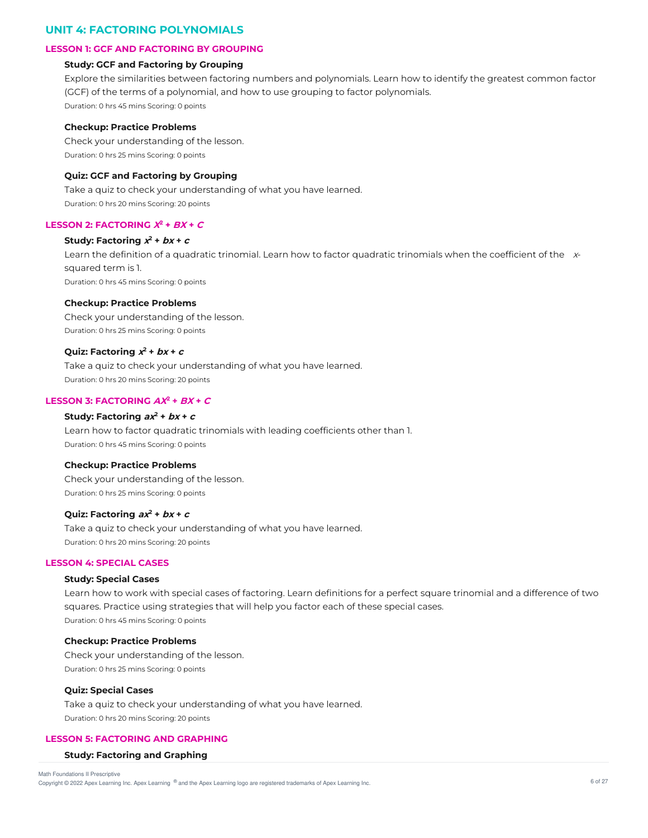# **UNIT 4: FACTORING POLYNOMIALS**

## **LESSON 1: GCF AND FACTORING BY GROUPING**

## **Study: GCF and Factoring by Grouping**

Explore the similarities between factoring numbers and polynomials. Learn how to identify the greatest common factor (GCF) of the terms of a polynomial, and how to use grouping to factor polynomials. Duration: 0 hrs 45 mins Scoring: 0 points

#### **Checkup: Practice Problems**

Check your understanding of the lesson. Duration: 0 hrs 25 mins Scoring: 0 points

## **Quiz: GCF and Factoring by Grouping**

Take a quiz to check your understanding of what you have learned. Duration: 0 hrs 20 mins Scoring: 20 points

### LESSON 2: **FACTORING**  $X^2$  +  $BX$  +  $C$

#### **Study: Factoring**  $x^2 + bx + c$

Learn the definition of a quadratic trinomial. Learn how to factor quadratic trinomials when the coefficient of the  $x$ squared term is 1.

Duration: 0 hrs 45 mins Scoring: 0 points

# **Checkup: Practice Problems**

Check your understanding of the lesson. Duration: 0 hrs 25 mins Scoring: 0 points

#### **Quiz:** Factoring  $x^2 + bx + c$

Take a quiz to check your understanding of what you have learned. Duration: 0 hrs 20 mins Scoring: 20 points

### **LESSON 3: FACTORING**  $AX^2 + BX + C$

#### **Study: Factoring ax <sup>2</sup> + bx + <sup>c</sup>**

Learn how to factor quadratic trinomials with leading coefficients other than 1. Duration: 0 hrs 45 mins Scoring: 0 points

## **Checkup: Practice Problems**

Check your understanding of the lesson. Duration: 0 hrs 25 mins Scoring: 0 points

#### **Quiz: Factoring ax <sup>2</sup> + bx + <sup>c</sup>**

Take a quiz to check your understanding of what you have learned. Duration: 0 hrs 20 mins Scoring: 20 points

# **LESSON 4: SPECIAL CASES**

### **Study: Special Cases**

Learn how to work with special cases of factoring. Learn definitions for a perfect square trinomial and a difference of two squares. Practice using strategies that will help you factor each of these special cases. Duration: 0 hrs 45 mins Scoring: 0 points

### **Checkup: Practice Problems**

Check your understanding of the lesson. Duration: 0 hrs 25 mins Scoring: 0 points

#### **Quiz: Special Cases**

Take a quiz to check your understanding of what you have learned. Duration: 0 hrs 20 mins Scoring: 20 points

# **LESSON 5: FACTORING AND GRAPHING**

#### **Study: Factoring and Graphing**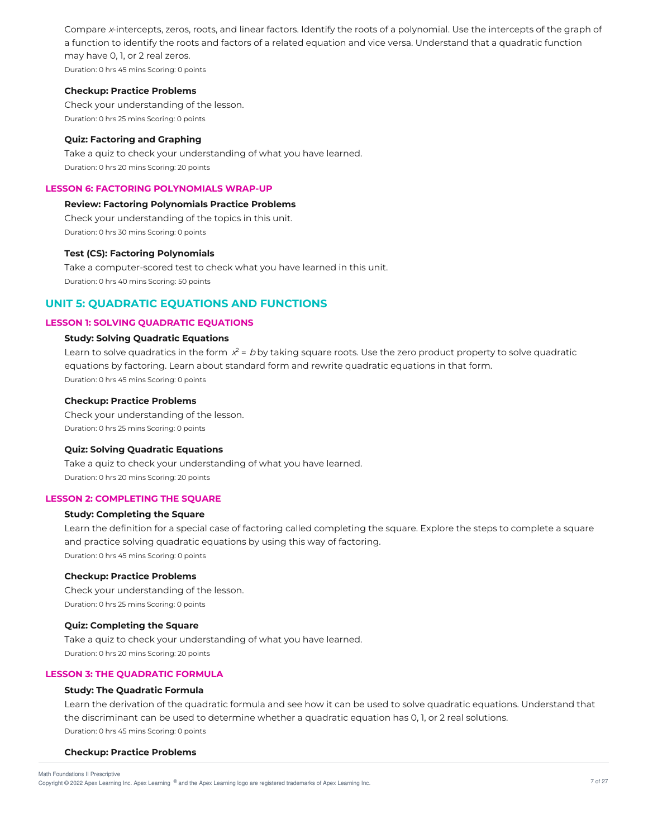Compare x-intercepts, zeros, roots, and linear factors. Identify the roots of a polynomial. Use the intercepts of the graph of a function to identify the roots and factors of a related equation and vice versa. Understand that a quadratic function may have 0, 1, or 2 real zeros. Duration: 0 hrs 45 mins Scoring: 0 points

#### **Checkup: Practice Problems**

Check your understanding of the lesson. Duration: 0 hrs 25 mins Scoring: 0 points

## **Quiz: Factoring and Graphing**

Take a quiz to check your understanding of what you have learned. Duration: 0 hrs 20 mins Scoring: 20 points

### **LESSON 6: FACTORING POLYNOMIALS WRAP-UP**

### **Review: Factoring Polynomials Practice Problems**

Check your understanding of the topics in this unit. Duration: 0 hrs 30 mins Scoring: 0 points

#### **Test (CS): Factoring Polynomials**

Take a computer-scored test to check what you have learned in this unit. Duration: 0 hrs 40 mins Scoring: 50 points

# **UNIT 5: QUADRATIC EQUATIONS AND FUNCTIONS**

### **LESSON 1: SOLVING QUADRATIC EQUATIONS**

## **Study: Solving Quadratic Equations**

Learn to solve quadratics in the form  $x^2$  = bby taking square roots. Use the zero product property to solve quadratic equations by factoring. Learn about standard form and rewrite quadratic equations in that form. Duration: 0 hrs 45 mins Scoring: 0 points

### **Checkup: Practice Problems**

Check your understanding of the lesson. Duration: 0 hrs 25 mins Scoring: 0 points

### **Quiz: Solving Quadratic Equations**

Take a quiz to check your understanding of what you have learned. Duration: 0 hrs 20 mins Scoring: 20 points

### **LESSON 2: COMPLETING THE SQUARE**

## **Study: Completing the Square**

Learn the definition for a special case of factoring called completing the square. Explore the steps to complete a square and practice solving quadratic equations by using this way of factoring. Duration: 0 hrs 45 mins Scoring: 0 points

#### **Checkup: Practice Problems**

Check your understanding of the lesson. Duration: 0 hrs 25 mins Scoring: 0 points

#### **Quiz: Completing the Square**

Take a quiz to check your understanding of what you have learned. Duration: 0 hrs 20 mins Scoring: 20 points

## **LESSON 3: THE QUADRATIC FORMULA**

#### **Study: The Quadratic Formula**

Learn the derivation of the quadratic formula and see how it can be used to solve quadratic equations. Understand that the discriminant can be used to determine whether a quadratic equation has 0, 1, or 2 real solutions. Duration: 0 hrs 45 mins Scoring: 0 points

#### **Checkup: Practice Problems**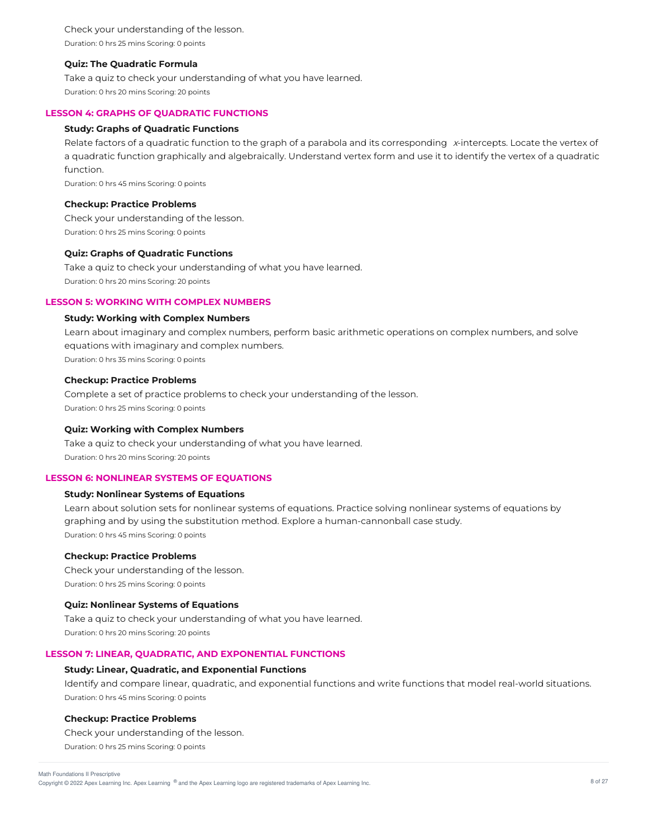Check your understanding of the lesson. Duration: 0 hrs 25 mins Scoring: 0 points

## **Quiz: The Quadratic Formula**

Take a quiz to check your understanding of what you have learned. Duration: 0 hrs 20 mins Scoring: 20 points

#### **LESSON 4: GRAPHS OF QUADRATIC FUNCTIONS**

### **Study: Graphs of Quadratic Functions**

Relate factors of a quadratic function to the graph of a parabola and its corresponding  $x$ -intercepts. Locate the vertex of a quadratic function graphically and algebraically. Understand vertex form and use it to identify the vertex of a quadratic function.

Duration: 0 hrs 45 mins Scoring: 0 points

### **Checkup: Practice Problems**

Check your understanding of the lesson. Duration: 0 hrs 25 mins Scoring: 0 points

#### **Quiz: Graphs of Quadratic Functions**

Take a quiz to check your understanding of what you have learned. Duration: 0 hrs 20 mins Scoring: 20 points

## **LESSON 5: WORKING WITH COMPLEX NUMBERS**

#### **Study: Working with Complex Numbers**

Learn about imaginary and complex numbers, perform basic arithmetic operations on complex numbers, and solve equations with imaginary and complex numbers.

Duration: 0 hrs 35 mins Scoring: 0 points

### **Checkup: Practice Problems**

Complete a set of practice problems to check your understanding of the lesson. Duration: 0 hrs 25 mins Scoring: 0 points

#### **Quiz: Working with Complex Numbers**

Take a quiz to check your understanding of what you have learned. Duration: 0 hrs 20 mins Scoring: 20 points

## **LESSON 6: NONLINEAR SYSTEMS OF EQUATIONS**

### **Study: Nonlinear Systems of Equations**

Learn about solution sets for nonlinear systems of equations. Practice solving nonlinear systems of equations by graphing and by using the substitution method. Explore a human-cannonball case study. Duration: 0 hrs 45 mins Scoring: 0 points

## **Checkup: Practice Problems**

Check your understanding of the lesson. Duration: 0 hrs 25 mins Scoring: 0 points

#### **Quiz: Nonlinear Systems of Equations**

Take a quiz to check your understanding of what you have learned. Duration: 0 hrs 20 mins Scoring: 20 points

### **LESSON 7: LINEAR, QUADRATIC, AND EXPONENTIAL FUNCTIONS**

#### **Study: Linear, Quadratic, and Exponential Functions**

Identify and compare linear, quadratic, and exponential functions and write functions that model real-world situations. Duration: 0 hrs 45 mins Scoring: 0 points

#### **Checkup: Practice Problems**

Check your understanding of the lesson.

Duration: 0 hrs 25 mins Scoring: 0 points

Copyright © 2022 Apex Learning Inc. Apex Learning ® and the Apex Learning logo are registered trademarks of Apex Learning Inc. **800 are all a set are all a** structure to a set a set a set and the Apex Learning logo are reg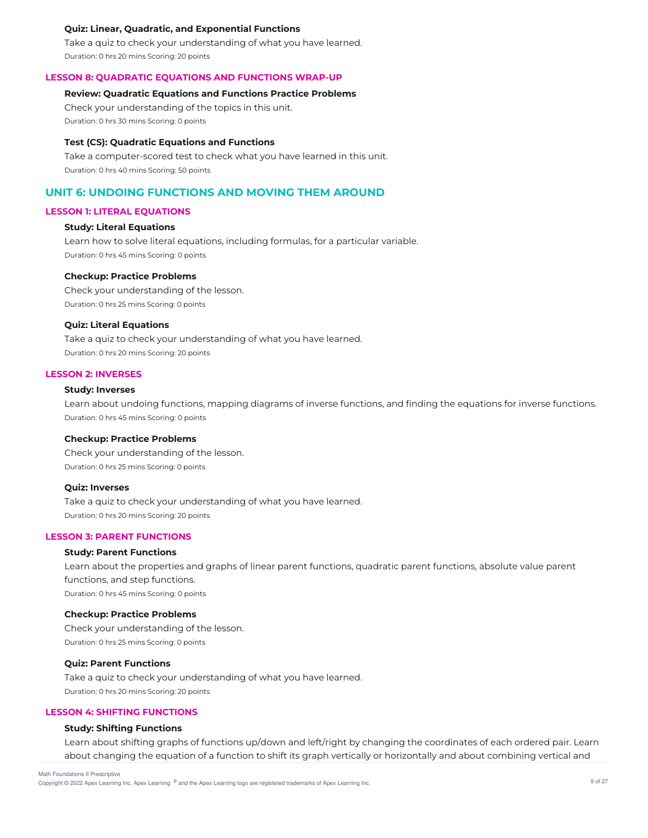### **Quiz: Linear, Quadratic, and Exponential Functions**

Take a quiz to check your understanding of what you have learned. Duration: 0 hrs 20 mins Scoring: 20 points

#### **LESSON 8: QUADRATIC EQUATIONS AND FUNCTIONS WRAP-UP**

### **Review: Quadratic Equations and Functions Practice Problems**

Check your understanding of the topics in this unit. Duration: 0 hrs 30 mins Scoring: 0 points

#### **Test (CS): Quadratic Equations and Functions**

Take a computer-scored test to check what you have learned in this unit. Duration: 0 hrs 40 mins Scoring: 50 points

# **UNIT 6: UNDOING FUNCTIONS AND MOVING THEM AROUND**

### **LESSON 1: LITERAL EQUATIONS**

## **Study: Literal Equations**

Learn how to solve literal equations, including formulas, for a particular variable. Duration: 0 hrs 45 mins Scoring: 0 points

#### **Checkup: Practice Problems**

Check your understanding of the lesson. Duration: 0 hrs 25 mins Scoring: 0 points

### **Quiz: Literal Equations**

Take a quiz to check your understanding of what you have learned. Duration: 0 hrs 20 mins Scoring: 20 points

### **LESSON 2: INVERSES**

## **Study: Inverses**

Learn about undoing functions, mapping diagrams of inverse functions, and finding the equations for inverse functions. Duration: 0 hrs 45 mins Scoring: 0 points

### **Checkup: Practice Problems**

Check your understanding of the lesson. Duration: 0 hrs 25 mins Scoring: 0 points

#### **Quiz: Inverses**

Take a quiz to check your understanding of what you have learned. Duration: 0 hrs 20 mins Scoring: 20 points

## **LESSON 3: PARENT FUNCTIONS**

### **Study: Parent Functions**

Learn about the properties and graphs of linear parent functions, quadratic parent functions, absolute value parent functions, and step functions. Duration: 0 hrs 45 mins Scoring: 0 points

#### **Checkup: Practice Problems**

Check your understanding of the lesson. Duration: 0 hrs 25 mins Scoring: 0 points

#### **Quiz: Parent Functions**

Take a quiz to check your understanding of what you have learned. Duration: 0 hrs 20 mins Scoring: 20 points

### **LESSON 4: SHIFTING FUNCTIONS**

### **Study: Shifting Functions**

Learn about shifting graphs of functions up/down and left/right by changing the coordinates of each ordered pair. Learn about changing the equation of a function to shift its graph vertically or horizontally and about combining vertical and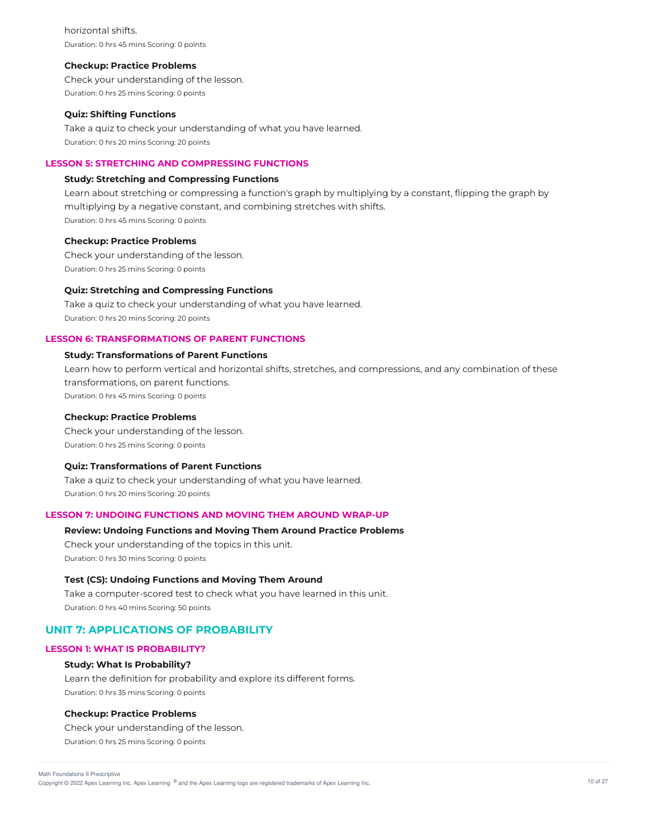horizontal shifts. Duration: 0 hrs 45 mins Scoring: 0 points

#### **Checkup: Practice Problems**

Check your understanding of the lesson. Duration: 0 hrs 25 mins Scoring: 0 points

#### **Quiz: Shifting Functions**

Take a quiz to check your understanding of what you have learned. Duration: 0 hrs 20 mins Scoring: 20 points

# **LESSON 5: STRETCHING AND COMPRESSING FUNCTIONS**

## **Study: Stretching and Compressing Functions**

Learn about stretching or compressing a function's graph by multiplying by a constant, flipping the graph by multiplying by a negative constant, and combining stretches with shifts. Duration: 0 hrs 45 mins Scoring: 0 points

## **Checkup: Practice Problems**

Check your understanding of the lesson. Duration: 0 hrs 25 mins Scoring: 0 points

### **Quiz: Stretching and Compressing Functions**

Take a quiz to check your understanding of what you have learned. Duration: 0 hrs 20 mins Scoring: 20 points

## **LESSON 6: TRANSFORMATIONS OF PARENT FUNCTIONS**

## **Study: Transformations of Parent Functions**

Learn how to perform vertical and horizontal shifts, stretches, and compressions, and any combination of these transformations, on parent functions. Duration: 0 hrs 45 mins Scoring: 0 points

**Checkup: Practice Problems**

Check your understanding of the lesson. Duration: 0 hrs 25 mins Scoring: 0 points

#### **Quiz: Transformations of Parent Functions**

Take a quiz to check your understanding of what you have learned. Duration: 0 hrs 20 mins Scoring: 20 points

# **LESSON 7: UNDOING FUNCTIONS AND MOVING THEM AROUND WRAP-UP**

### **Review: Undoing Functions and Moving Them Around Practice Problems**

Check your understanding of the topics in this unit. Duration: 0 hrs 30 mins Scoring: 0 points

#### **Test (CS): Undoing Functions and Moving Them Around**

Take a computer-scored test to check what you have learned in this unit. Duration: 0 hrs 40 mins Scoring: 50 points

# **UNIT 7: APPLICATIONS OF PROBABILITY**

## **LESSON 1: WHAT IS PROBABILITY?**

### **Study: What Is Probability?**

Learn the definition for probability and explore its different forms. Duration: 0 hrs 35 mins Scoring: 0 points

## **Checkup: Practice Problems**

Check your understanding of the lesson. Duration: 0 hrs 25 mins Scoring: 0 points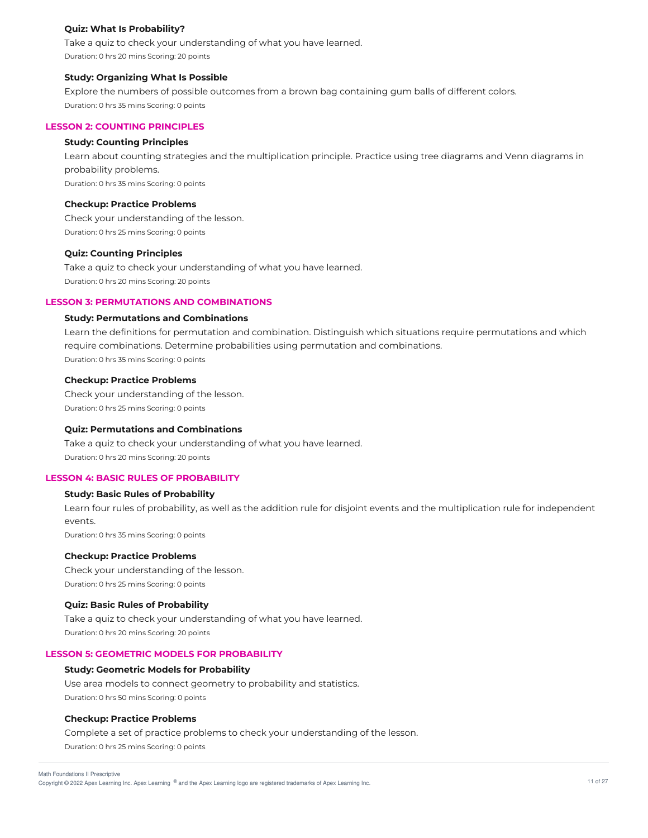## **Quiz: What Is Probability?**

Take a quiz to check your understanding of what you have learned. Duration: 0 hrs 20 mins Scoring: 20 points

#### **Study: Organizing What Is Possible**

Explore the numbers of possible outcomes from a brown bag containing gum balls of different colors. Duration: 0 hrs 35 mins Scoring: 0 points

### **LESSON 2: COUNTING PRINCIPLES**

### **Study: Counting Principles**

Learn about counting strategies and the multiplication principle. Practice using tree diagrams and Venn diagrams in probability problems. Duration: 0 hrs 35 mins Scoring: 0 points

#### **Checkup: Practice Problems**

Check your understanding of the lesson. Duration: 0 hrs 25 mins Scoring: 0 points

#### **Quiz: Counting Principles**

Take a quiz to check your understanding of what you have learned. Duration: 0 hrs 20 mins Scoring: 20 points

## **LESSON 3: PERMUTATIONS AND COMBINATIONS**

#### **Study: Permutations and Combinations**

Learn the definitions for permutation and combination. Distinguish which situations require permutations and which require combinations. Determine probabilities using permutation and combinations. Duration: 0 hrs 35 mins Scoring: 0 points

## **Checkup: Practice Problems**

Check your understanding of the lesson. Duration: 0 hrs 25 mins Scoring: 0 points

### **Quiz: Permutations and Combinations**

Take a quiz to check your understanding of what you have learned. Duration: 0 hrs 20 mins Scoring: 20 points

# **LESSON 4: BASIC RULES OF PROBABILITY**

### **Study: Basic Rules of Probability**

Learn four rules of probability, as well as the addition rule for disjoint events and the multiplication rule for independent events. Duration: 0 hrs 35 mins Scoring: 0 points

#### **Checkup: Practice Problems**

Check your understanding of the lesson. Duration: 0 hrs 25 mins Scoring: 0 points

### **Quiz: Basic Rules of Probability**

Take a quiz to check your understanding of what you have learned. Duration: 0 hrs 20 mins Scoring: 20 points

### **LESSON 5: GEOMETRIC MODELS FOR PROBABILITY**

### **Study: Geometric Models for Probability**

Use area models to connect geometry to probability and statistics. Duration: 0 hrs 50 mins Scoring: 0 points

#### **Checkup: Practice Problems**

Complete a set of practice problems to check your understanding of the lesson. Duration: 0 hrs 25 mins Scoring: 0 points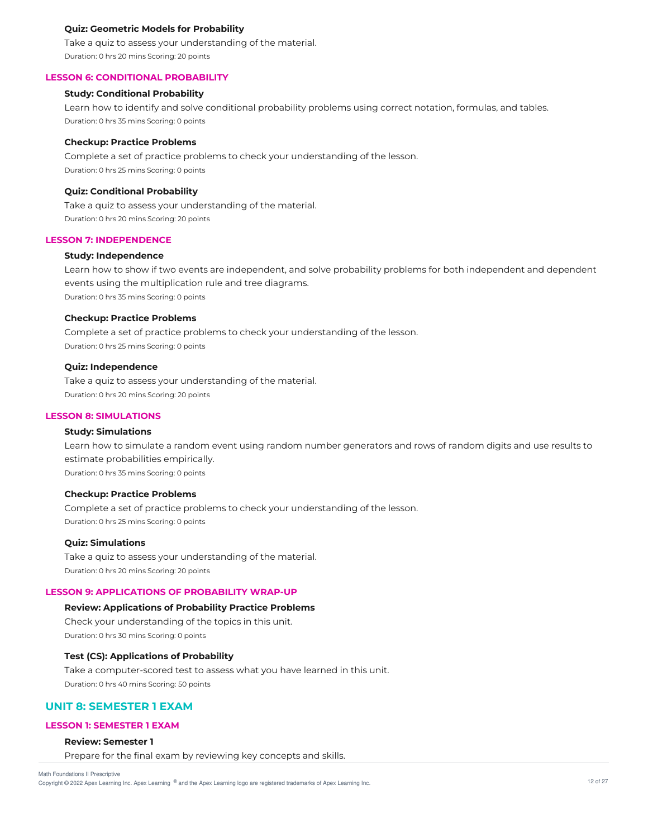### **Quiz: Geometric Models for Probability**

Take a quiz to assess your understanding of the material. Duration: 0 hrs 20 mins Scoring: 20 points

#### **LESSON 6: CONDITIONAL PROBABILITY**

### **Study: Conditional Probability**

Learn how to identify and solve conditional probability problems using correct notation, formulas, and tables. Duration: 0 hrs 35 mins Scoring: 0 points

#### **Checkup: Practice Problems**

Complete a set of practice problems to check your understanding of the lesson. Duration: 0 hrs 25 mins Scoring: 0 points

## **Quiz: Conditional Probability**

Take a quiz to assess your understanding of the material. Duration: 0 hrs 20 mins Scoring: 20 points

#### **LESSON 7: INDEPENDENCE**

#### **Study: Independence**

Learn how to show if two events are independent, and solve probability problems for both independent and dependent events using the multiplication rule and tree diagrams. Duration: 0 hrs 35 mins Scoring: 0 points

#### **Checkup: Practice Problems**

Complete a set of practice problems to check your understanding of the lesson. Duration: 0 hrs 25 mins Scoring: 0 points

### **Quiz: Independence**

Take a quiz to assess your understanding of the material. Duration: 0 hrs 20 mins Scoring: 20 points

### **LESSON 8: SIMULATIONS**

### **Study: Simulations**

Learn how to simulate a random event using random number generators and rows of random digits and use results to estimate probabilities empirically. Duration: 0 hrs 35 mins Scoring: 0 points

#### **Checkup: Practice Problems**

Complete a set of practice problems to check your understanding of the lesson. Duration: 0 hrs 25 mins Scoring: 0 points

## **Quiz: Simulations**

Take a quiz to assess your understanding of the material. Duration: 0 hrs 20 mins Scoring: 20 points

### **LESSON 9: APPLICATIONS OF PROBABILITY WRAP-UP**

## **Review: Applications of Probability Practice Problems**

Check your understanding of the topics in this unit. Duration: 0 hrs 30 mins Scoring: 0 points

### **Test (CS): Applications of Probability**

Take a computer-scored test to assess what you have learned in this unit. Duration: 0 hrs 40 mins Scoring: 50 points

#### **UNIT 8: SEMESTER 1 EXAM**

### **LESSON 1: SEMESTER 1 EXAM**

#### **Review: Semester 1**

Prepare for the final exam by reviewing key concepts and skills.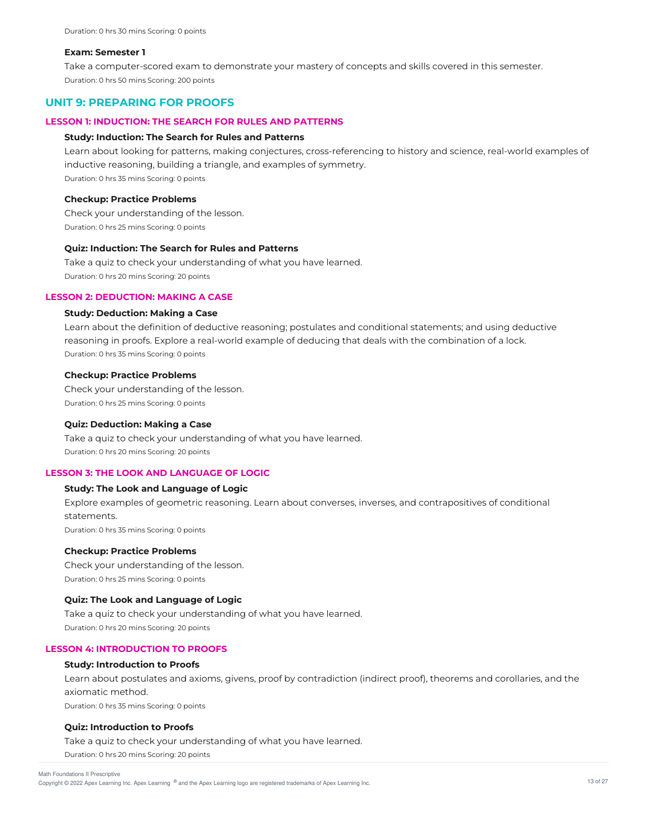Duration: 0 hrs 30 mins Scoring: 0 points

#### **Exam: Semester 1**

Take a computer-scored exam to demonstrate your mastery of concepts and skills covered in this semester. Duration: 0 hrs 50 mins Scoring: 200 points

# **UNIT 9: PREPARING FOR PROOFS**

### **LESSON 1: INDUCTION: THE SEARCH FOR RULES AND PATTERNS**

### **Study: Induction: The Search for Rules and Patterns**

Learn about looking for patterns, making conjectures, cross-referencing to history and science, real-world examples of inductive reasoning, building a triangle, and examples of symmetry. Duration: 0 hrs 35 mins Scoring: 0 points

### **Checkup: Practice Problems**

Check your understanding of the lesson. Duration: 0 hrs 25 mins Scoring: 0 points

#### **Quiz: Induction: The Search for Rules and Patterns**

Take a quiz to check your understanding of what you have learned. Duration: 0 hrs 20 mins Scoring: 20 points

# **LESSON 2: DEDUCTION: MAKING A CASE**

## **Study: Deduction: Making a Case**

Learn about the definition of deductive reasoning; postulates and conditional statements; and using deductive reasoning in proofs. Explore a real-world example of deducing that deals with the combination of a lock. Duration: 0 hrs 35 mins Scoring: 0 points

### **Checkup: Practice Problems**

Check your understanding of the lesson. Duration: 0 hrs 25 mins Scoring: 0 points

### **Quiz: Deduction: Making a Case**

Take a quiz to check your understanding of what you have learned. Duration: 0 hrs 20 mins Scoring: 20 points

### **LESSON 3: THE LOOK AND LANGUAGE OF LOGIC**

## **Study: The Look and Language of Logic**

Explore examples of geometric reasoning. Learn about converses, inverses, and contrapositives of conditional statements. Duration: 0 hrs 35 mins Scoring: 0 points

**Checkup: Practice Problems**

Check your understanding of the lesson. Duration: 0 hrs 25 mins Scoring: 0 points

#### **Quiz: The Look and Language of Logic**

Take a quiz to check your understanding of what you have learned. Duration: 0 hrs 20 mins Scoring: 20 points

# **LESSON 4: INTRODUCTION TO PROOFS**

### **Study: Introduction to Proofs**

Learn about postulates and axioms, givens, proof by contradiction (indirect proof), theorems and corollaries, and the axiomatic method.

Duration: 0 hrs 35 mins Scoring: 0 points

### **Quiz: Introduction to Proofs**

Take a quiz to check your understanding of what you have learned.

Duration: 0 hrs 20 mins Scoring: 20 points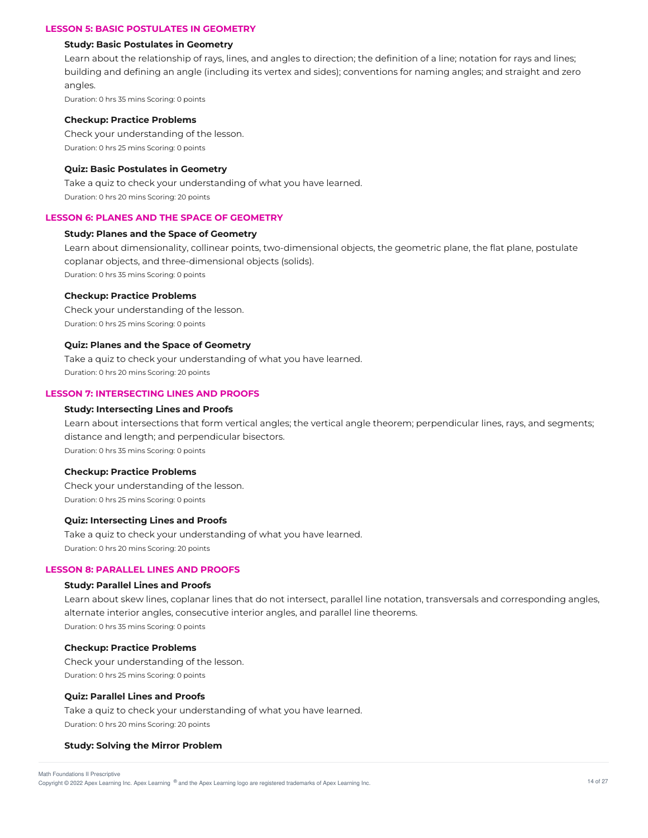## **LESSON 5: BASIC POSTULATES IN GEOMETRY**

#### **Study: Basic Postulates in Geometry**

Learn about the relationship of rays, lines, and angles to direction; the definition of a line; notation for rays and lines; building and defining an angle (including its vertex and sides); conventions for naming angles; and straight and zero angles.

Duration: 0 hrs 35 mins Scoring: 0 points

#### **Checkup: Practice Problems**

Check your understanding of the lesson. Duration: 0 hrs 25 mins Scoring: 0 points

#### **Quiz: Basic Postulates in Geometry**

Take a quiz to check your understanding of what you have learned. Duration: 0 hrs 20 mins Scoring: 20 points

### **LESSON 6: PLANES AND THE SPACE OF GEOMETRY**

#### **Study: Planes and the Space of Geometry**

Learn about dimensionality, collinear points, two-dimensional objects, the geometric plane, the flat plane, postulate coplanar objects, and three-dimensional objects (solids).

Duration: 0 hrs 35 mins Scoring: 0 points

### **Checkup: Practice Problems**

Check your understanding of the lesson. Duration: 0 hrs 25 mins Scoring: 0 points

#### **Quiz: Planes and the Space of Geometry**

Take a quiz to check your understanding of what you have learned. Duration: 0 hrs 20 mins Scoring: 20 points

#### **LESSON 7: INTERSECTING LINES AND PROOFS**

#### **Study: Intersecting Lines and Proofs**

Learn about intersections that form vertical angles; the vertical angle theorem; perpendicular lines, rays, and segments; distance and length; and perpendicular bisectors. Duration: 0 hrs 35 mins Scoring: 0 points

### **Checkup: Practice Problems**

Check your understanding of the lesson. Duration: 0 hrs 25 mins Scoring: 0 points

#### **Quiz: Intersecting Lines and Proofs**

Take a quiz to check your understanding of what you have learned. Duration: 0 hrs 20 mins Scoring: 20 points

### **LESSON 8: PARALLEL LINES AND PROOFS**

#### **Study: Parallel Lines and Proofs**

Learn about skew lines, coplanar lines that do not intersect, parallel line notation, transversals and corresponding angles, alternate interior angles, consecutive interior angles, and parallel line theorems. Duration: 0 hrs 35 mins Scoring: 0 points

#### **Checkup: Practice Problems**

Check your understanding of the lesson. Duration: 0 hrs 25 mins Scoring: 0 points

## **Quiz: Parallel Lines and Proofs**

Take a quiz to check your understanding of what you have learned. Duration: 0 hrs 20 mins Scoring: 20 points

#### **Study: Solving the Mirror Problem**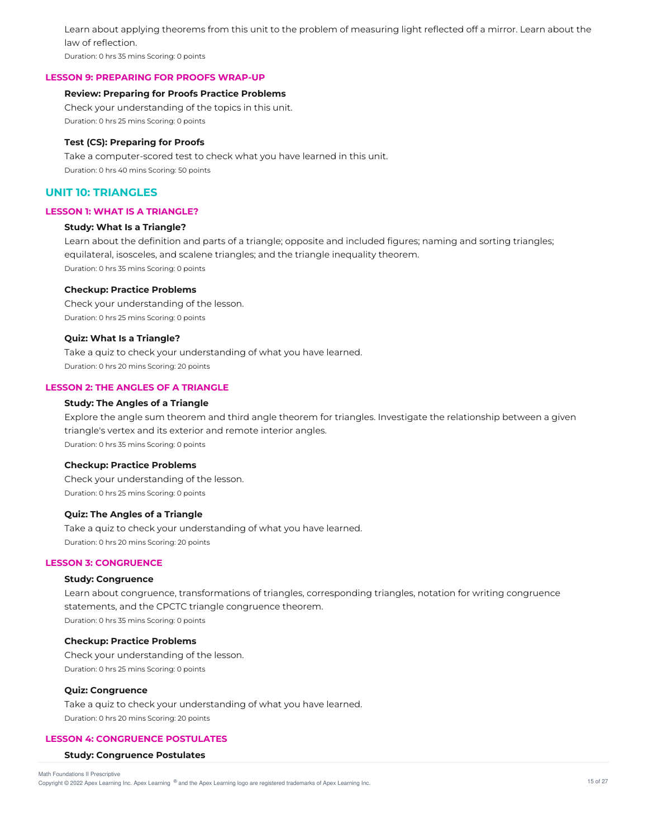Learn about applying theorems from this unit to the problem of measuring light reflected off a mirror. Learn about the law of reflection.

Duration: 0 hrs 35 mins Scoring: 0 points

#### **LESSON 9: PREPARING FOR PROOFS WRAP-UP**

### **Review: Preparing for Proofs Practice Problems**

Check your understanding of the topics in this unit. Duration: 0 hrs 25 mins Scoring: 0 points

#### **Test (CS): Preparing for Proofs**

Take a computer-scored test to check what you have learned in this unit. Duration: 0 hrs 40 mins Scoring: 50 points

## **UNIT 10: TRIANGLES**

## **LESSON 1: WHAT IS A TRIANGLE?**

## **Study: What Is a Triangle?**

Learn about the definition and parts of a triangle; opposite and included figures; naming and sorting triangles; equilateral, isosceles, and scalene triangles; and the triangle inequality theorem. Duration: 0 hrs 35 mins Scoring: 0 points

### **Checkup: Practice Problems**

Check your understanding of the lesson. Duration: 0 hrs 25 mins Scoring: 0 points

## **Quiz: What Is a Triangle?**

Take a quiz to check your understanding of what you have learned. Duration: 0 hrs 20 mins Scoring: 20 points

## **LESSON 2: THE ANGLES OF A TRIANGLE**

## **Study: The Angles of a Triangle**

Explore the angle sum theorem and third angle theorem for triangles. Investigate the relationship between a given triangle's vertex and its exterior and remote interior angles. Duration: 0 hrs 35 mins Scoring: 0 points

#### **Checkup: Practice Problems**

Check your understanding of the lesson. Duration: 0 hrs 25 mins Scoring: 0 points

### **Quiz: The Angles of a Triangle**

Take a quiz to check your understanding of what you have learned. Duration: 0 hrs 20 mins Scoring: 20 points

## **LESSON 3: CONGRUENCE**

#### **Study: Congruence**

Learn about congruence, transformations of triangles, corresponding triangles, notation for writing congruence statements, and the CPCTC triangle congruence theorem. Duration: 0 hrs 35 mins Scoring: 0 points

#### **Checkup: Practice Problems**

Check your understanding of the lesson. Duration: 0 hrs 25 mins Scoring: 0 points

#### **Quiz: Congruence**

Take a quiz to check your understanding of what you have learned. Duration: 0 hrs 20 mins Scoring: 20 points

## **LESSON 4: CONGRUENCE POSTULATES**

#### **Study: Congruence Postulates**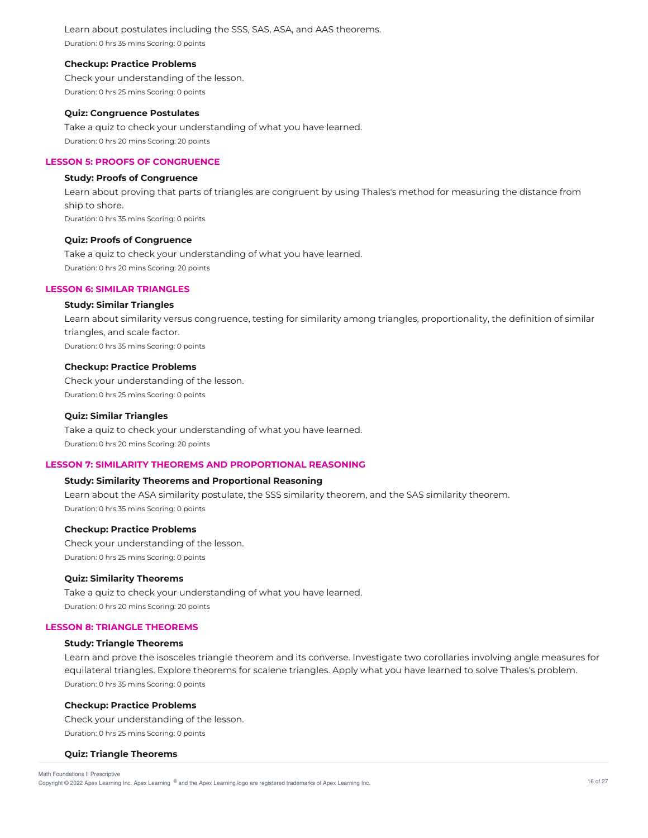Learn about postulates including the SSS, SAS, ASA, and AAS theorems. Duration: 0 hrs 35 mins Scoring: 0 points

### **Checkup: Practice Problems**

Check your understanding of the lesson. Duration: 0 hrs 25 mins Scoring: 0 points

#### **Quiz: Congruence Postulates**

Take a quiz to check your understanding of what you have learned. Duration: 0 hrs 20 mins Scoring: 20 points

### **LESSON 5: PROOFS OF CONGRUENCE**

#### **Study: Proofs of Congruence**

Learn about proving that parts of triangles are congruent by using Thales's method for measuring the distance from ship to shore. Duration: 0 hrs 35 mins Scoring: 0 points

#### **Quiz: Proofs of Congruence**

Take a quiz to check your understanding of what you have learned. Duration: 0 hrs 20 mins Scoring: 20 points

## **LESSON 6: SIMILAR TRIANGLES**

## **Study: Similar Triangles**

Learn about similarity versus congruence, testing for similarity among triangles, proportionality, the definition of similar triangles, and scale factor. Duration: 0 hrs 35 mins Scoring: 0 points

### **Checkup: Practice Problems**

Check your understanding of the lesson. Duration: 0 hrs 25 mins Scoring: 0 points

#### **Quiz: Similar Triangles**

Take a quiz to check your understanding of what you have learned. Duration: 0 hrs 20 mins Scoring: 20 points

## **LESSON 7: SIMILARITY THEOREMS AND PROPORTIONAL REASONING**

## **Study: Similarity Theorems and Proportional Reasoning**

Learn about the ASA similarity postulate, the SSS similarity theorem, and the SAS similarity theorem. Duration: 0 hrs 35 mins Scoring: 0 points

### **Checkup: Practice Problems**

Check your understanding of the lesson. Duration: 0 hrs 25 mins Scoring: 0 points

### **Quiz: Similarity Theorems**

Take a quiz to check your understanding of what you have learned. Duration: 0 hrs 20 mins Scoring: 20 points

#### **LESSON 8: TRIANGLE THEOREMS**

#### **Study: Triangle Theorems**

Learn and prove the isosceles triangle theorem and its converse. Investigate two corollaries involving angle measures for equilateral triangles. Explore theorems for scalene triangles. Apply what you have learned to solve Thales's problem. Duration: 0 hrs 35 mins Scoring: 0 points

### **Checkup: Practice Problems**

Check your understanding of the lesson. Duration: 0 hrs 25 mins Scoring: 0 points

#### **Quiz: Triangle Theorems**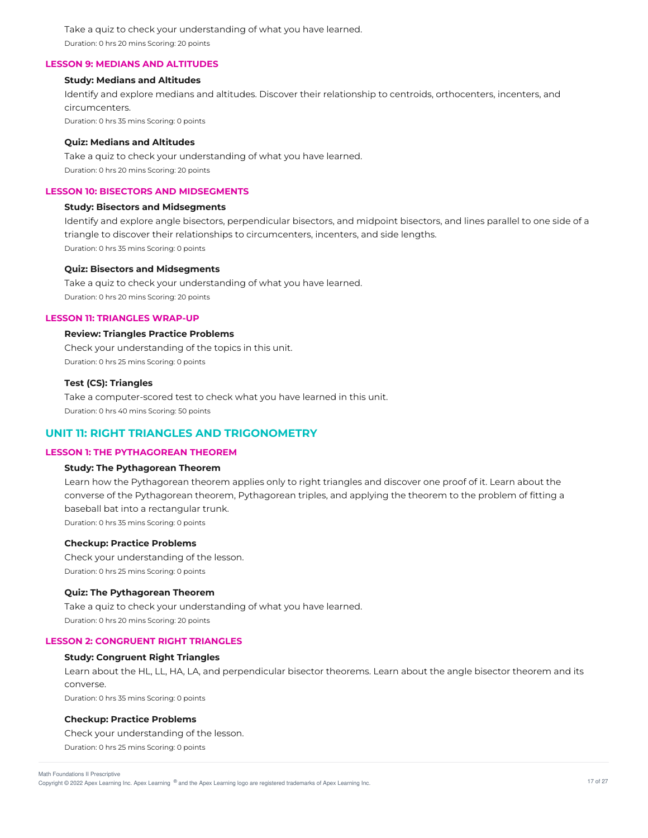Take a quiz to check your understanding of what you have learned. Duration: 0 hrs 20 mins Scoring: 20 points

### **LESSON 9: MEDIANS AND ALTITUDES**

### **Study: Medians and Altitudes**

Identify and explore medians and altitudes. Discover their relationship to centroids, orthocenters, incenters, and circumcenters. Duration: 0 hrs 35 mins Scoring: 0 points

#### **Quiz: Medians and Altitudes**

Take a quiz to check your understanding of what you have learned. Duration: 0 hrs 20 mins Scoring: 20 points

## **LESSON 10: BISECTORS AND MIDSEGMENTS**

# **Study: Bisectors and Midsegments**

Identify and explore angle bisectors, perpendicular bisectors, and midpoint bisectors, and lines parallel to one side of a triangle to discover their relationships to circumcenters, incenters, and side lengths. Duration: 0 hrs 35 mins Scoring: 0 points

#### **Quiz: Bisectors and Midsegments**

Take a quiz to check your understanding of what you have learned. Duration: 0 hrs 20 mins Scoring: 20 points

#### **LESSON 11: TRIANGLES WRAP-UP**

#### **Review: Triangles Practice Problems**

Check your understanding of the topics in this unit. Duration: 0 hrs 25 mins Scoring: 0 points

### **Test (CS): Triangles**

Take a computer-scored test to check what you have learned in this unit. Duration: 0 hrs 40 mins Scoring: 50 points

# **UNIT 11: RIGHT TRIANGLES AND TRIGONOMETRY**

## **LESSON 1: THE PYTHAGOREAN THEOREM**

### **Study: The Pythagorean Theorem**

Learn how the Pythagorean theorem applies only to right triangles and discover one proof of it. Learn about the converse of the Pythagorean theorem, Pythagorean triples, and applying the theorem to the problem of fitting a baseball bat into a rectangular trunk. Duration: 0 hrs 35 mins Scoring: 0 points

#### **Checkup: Practice Problems**

Check your understanding of the lesson. Duration: 0 hrs 25 mins Scoring: 0 points

### **Quiz: The Pythagorean Theorem**

Take a quiz to check your understanding of what you have learned. Duration: 0 hrs 20 mins Scoring: 20 points

## **LESSON 2: CONGRUENT RIGHT TRIANGLES**

### **Study: Congruent Right Triangles**

Learn about the HL, LL, HA, LA, and perpendicular bisector theorems. Learn about the angle bisector theorem and its converse. Duration: 0 hrs 35 mins Scoring: 0 points

#### **Checkup: Practice Problems**

Check your understanding of the lesson. Duration: 0 hrs 25 mins Scoring: 0 points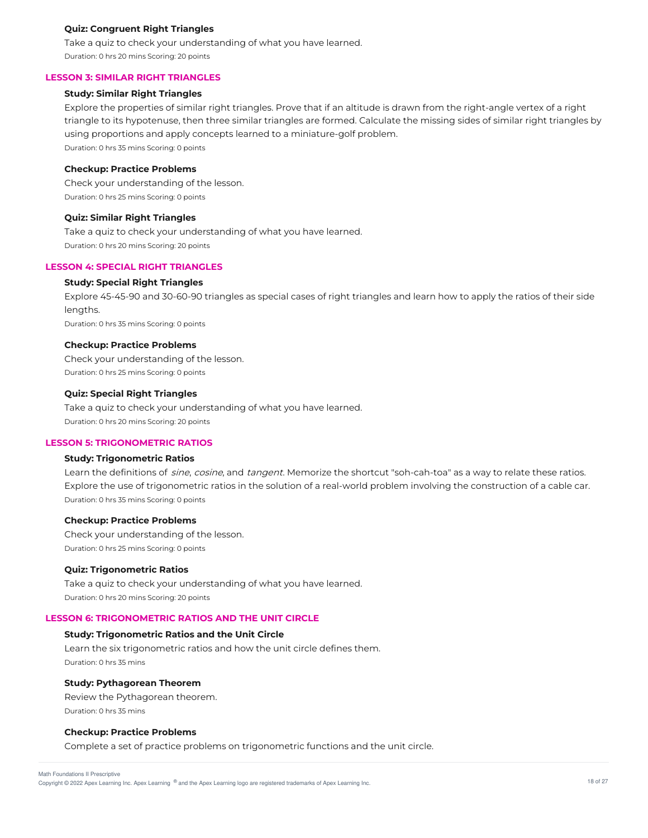### **Quiz: Congruent Right Triangles**

Take a quiz to check your understanding of what you have learned. Duration: 0 hrs 20 mins Scoring: 20 points

#### **LESSON 3: SIMILAR RIGHT TRIANGLES**

## **Study: Similar Right Triangles**

Explore the properties of similar right triangles. Prove that if an altitude is drawn from the right-angle vertex of a right triangle to its hypotenuse, then three similar triangles are formed. Calculate the missing sides of similar right triangles by using proportions and apply concepts learned to a miniature-golf problem.

Duration: 0 hrs 35 mins Scoring: 0 points

# **Checkup: Practice Problems**

Check your understanding of the lesson. Duration: 0 hrs 25 mins Scoring: 0 points

#### **Quiz: Similar Right Triangles**

Take a quiz to check your understanding of what you have learned. Duration: 0 hrs 20 mins Scoring: 20 points

### **LESSON 4: SPECIAL RIGHT TRIANGLES**

# **Study: Special Right Triangles**

Explore 45-45-90 and 30-60-90 triangles as special cases of right triangles and learn how to apply the ratios of their side lengths.

Duration: 0 hrs 35 mins Scoring: 0 points

### **Checkup: Practice Problems**

Check your understanding of the lesson. Duration: 0 hrs 25 mins Scoring: 0 points

#### **Quiz: Special Right Triangles**

Take a quiz to check your understanding of what you have learned. Duration: 0 hrs 20 mins Scoring: 20 points

## **LESSON 5: TRIGONOMETRIC RATIOS**

# **Study: Trigonometric Ratios**

Learn the definitions of sine, cosine, and tangent. Memorize the shortcut "soh-cah-toa" as a way to relate these ratios. Explore the use of trigonometric ratios in the solution of a real-world problem involving the construction of a cable car. Duration: 0 hrs 35 mins Scoring: 0 points

#### **Checkup: Practice Problems**

Check your understanding of the lesson. Duration: 0 hrs 25 mins Scoring: 0 points

### **Quiz: Trigonometric Ratios**

Take a quiz to check your understanding of what you have learned. Duration: 0 hrs 20 mins Scoring: 20 points

### **LESSON 6: TRIGONOMETRIC RATIOS AND THE UNIT CIRCLE**

## **Study: Trigonometric Ratios and the Unit Circle**

Learn the six trigonometric ratios and how the unit circle defines them. Duration: 0 hrs 35 mins

#### **Study: Pythagorean Theorem**

Review the Pythagorean theorem. Duration: 0 hrs 35 mins

## **Checkup: Practice Problems**

Complete a set of practice problems on trigonometric functions and the unit circle.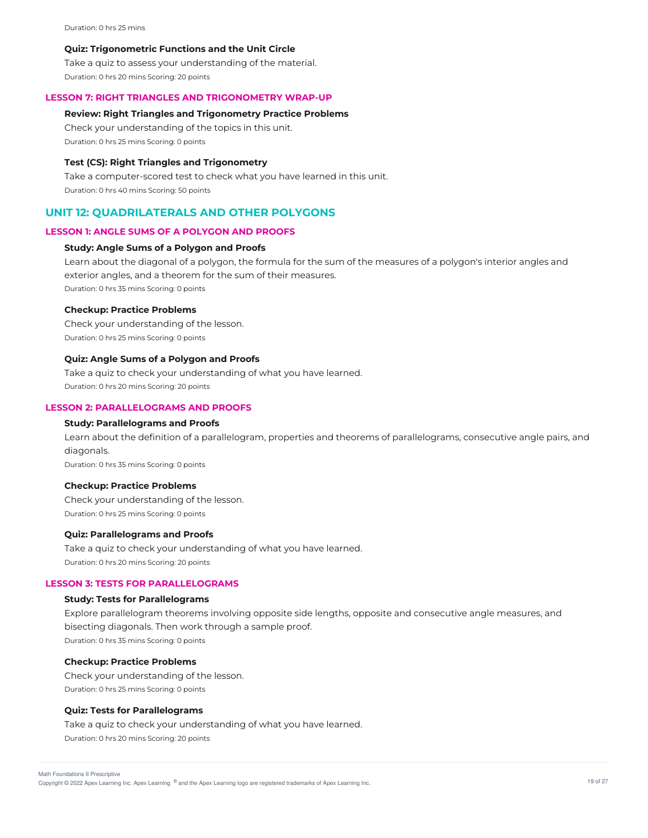Duration: 0 hrs 25 mins

#### **Quiz: Trigonometric Functions and the Unit Circle**

Take a quiz to assess your understanding of the material.

Duration: 0 hrs 20 mins Scoring: 20 points

### **LESSON 7: RIGHT TRIANGLES AND TRIGONOMETRY WRAP-UP**

### **Review: Right Triangles and Trigonometry Practice Problems**

Check your understanding of the topics in this unit. Duration: 0 hrs 25 mins Scoring: 0 points

### **Test (CS): Right Triangles and Trigonometry**

Take a computer-scored test to check what you have learned in this unit. Duration: 0 hrs 40 mins Scoring: 50 points

## **UNIT 12: QUADRILATERALS AND OTHER POLYGONS**

## **LESSON 1: ANGLE SUMS OF A POLYGON AND PROOFS**

### **Study: Angle Sums of a Polygon and Proofs**

Learn about the diagonal of a polygon, the formula for the sum of the measures of a polygon's interior angles and exterior angles, and a theorem for the sum of their measures. Duration: 0 hrs 35 mins Scoring: 0 points

#### **Checkup: Practice Problems**

Check your understanding of the lesson. Duration: 0 hrs 25 mins Scoring: 0 points

#### **Quiz: Angle Sums of a Polygon and Proofs**

Take a quiz to check your understanding of what you have learned. Duration: 0 hrs 20 mins Scoring: 20 points

### **LESSON 2: PARALLELOGRAMS AND PROOFS**

## **Study: Parallelograms and Proofs**

Learn about the definition of a parallelogram, properties and theorems of parallelograms, consecutive angle pairs, and diagonals.

Duration: 0 hrs 35 mins Scoring: 0 points

#### **Checkup: Practice Problems**

Check your understanding of the lesson. Duration: 0 hrs 25 mins Scoring: 0 points

## **Quiz: Parallelograms and Proofs**

Take a quiz to check your understanding of what you have learned. Duration: 0 hrs 20 mins Scoring: 20 points

## **LESSON 3: TESTS FOR PARALLELOGRAMS**

### **Study: Tests for Parallelograms**

Explore parallelogram theorems involving opposite side lengths, opposite and consecutive angle measures, and bisecting diagonals. Then work through a sample proof. Duration: 0 hrs 35 mins Scoring: 0 points

## **Checkup: Practice Problems**

Check your understanding of the lesson. Duration: 0 hrs 25 mins Scoring: 0 points

### **Quiz: Tests for Parallelograms**

Take a quiz to check your understanding of what you have learned. Duration: 0 hrs 20 mins Scoring: 20 points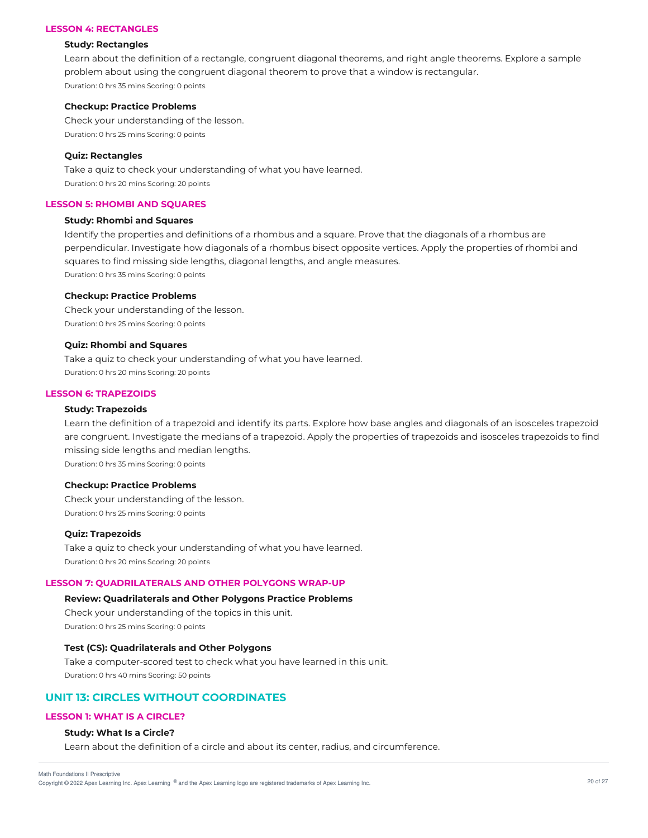## **LESSON 4: RECTANGLES**

#### **Study: Rectangles**

Learn about the definition of a rectangle, congruent diagonal theorems, and right angle theorems. Explore a sample problem about using the congruent diagonal theorem to prove that a window is rectangular. Duration: 0 hrs 35 mins Scoring: 0 points

### **Checkup: Practice Problems**

Check your understanding of the lesson. Duration: 0 hrs 25 mins Scoring: 0 points

### **Quiz: Rectangles**

Take a quiz to check your understanding of what you have learned. Duration: 0 hrs 20 mins Scoring: 20 points

### **LESSON 5: RHOMBI AND SQUARES**

## **Study: Rhombi and Squares**

Identify the properties and definitions of a rhombus and a square. Prove that the diagonals of a rhombus are perpendicular. Investigate how diagonals of a rhombus bisect opposite vertices. Apply the properties of rhombi and squares to find missing side lengths, diagonal lengths, and angle measures. Duration: 0 hrs 35 mins Scoring: 0 points

**Checkup: Practice Problems**

Check your understanding of the lesson. Duration: 0 hrs 25 mins Scoring: 0 points

#### **Quiz: Rhombi and Squares**

Take a quiz to check your understanding of what you have learned. Duration: 0 hrs 20 mins Scoring: 20 points

## **LESSON 6: TRAPEZOIDS**

### **Study: Trapezoids**

Learn the definition of a trapezoid and identify its parts. Explore how base angles and diagonals of an isosceles trapezoid are congruent. Investigate the medians of a trapezoid. Apply the properties of trapezoids and isosceles trapezoids to find missing side lengths and median lengths.

Duration: 0 hrs 35 mins Scoring: 0 points

#### **Checkup: Practice Problems**

Check your understanding of the lesson. Duration: 0 hrs 25 mins Scoring: 0 points

### **Quiz: Trapezoids**

Take a quiz to check your understanding of what you have learned. Duration: 0 hrs 20 mins Scoring: 20 points

### **LESSON 7: QUADRILATERALS AND OTHER POLYGONS WRAP-UP**

### **Review: Quadrilaterals and Other Polygons Practice Problems**

Check your understanding of the topics in this unit. Duration: 0 hrs 25 mins Scoring: 0 points

#### **Test (CS): Quadrilaterals and Other Polygons**

Take a computer-scored test to check what you have learned in this unit. Duration: 0 hrs 40 mins Scoring: 50 points

# **UNIT 13: CIRCLES WITHOUT COORDINATES**

## **LESSON 1: WHAT IS A CIRCLE?**

### **Study: What Is a Circle?**

Learn about the definition of a circle and about its center, radius, and circumference.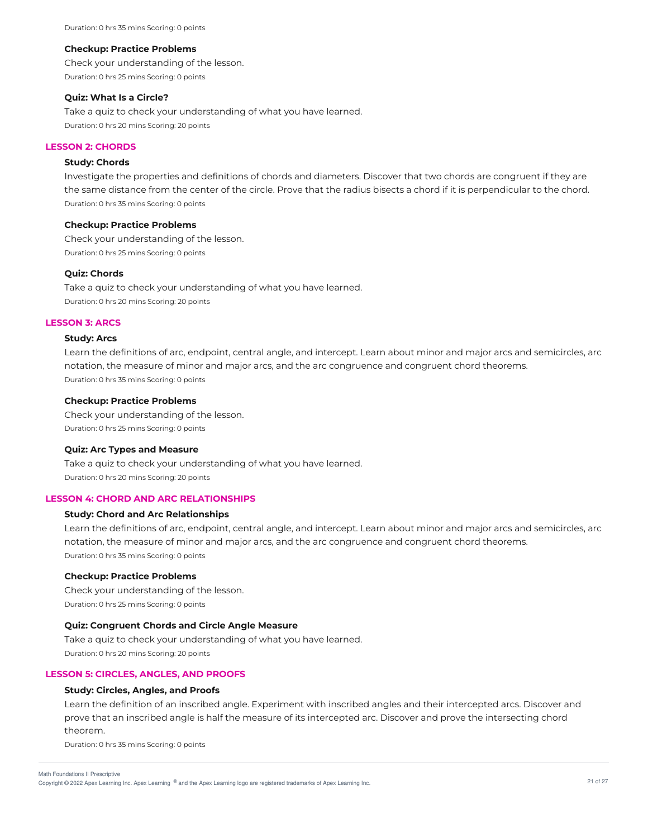#### **Checkup: Practice Problems**

Check your understanding of the lesson. Duration: 0 hrs 25 mins Scoring: 0 points

### **Quiz: What Is a Circle?**

Take a quiz to check your understanding of what you have learned. Duration: 0 hrs 20 mins Scoring: 20 points

# **LESSON 2: CHORDS**

## **Study: Chords**

Investigate the properties and definitions of chords and diameters. Discover that two chords are congruent if they are the same distance from the center of the circle. Prove that the radius bisects a chord if it is perpendicular to the chord. Duration: 0 hrs 35 mins Scoring: 0 points

#### **Checkup: Practice Problems**

Check your understanding of the lesson. Duration: 0 hrs 25 mins Scoring: 0 points

## **Quiz: Chords**

Take a quiz to check your understanding of what you have learned. Duration: 0 hrs 20 mins Scoring: 20 points

### **LESSON 3: ARCS**

## **Study: Arcs**

Learn the definitions of arc, endpoint, central angle, and intercept. Learn about minor and major arcs and semicircles, arc notation, the measure of minor and major arcs, and the arc congruence and congruent chord theorems. Duration: 0 hrs 35 mins Scoring: 0 points

### **Checkup: Practice Problems**

Check your understanding of the lesson. Duration: 0 hrs 25 mins Scoring: 0 points

#### **Quiz: Arc Types and Measure**

Take a quiz to check your understanding of what you have learned. Duration: 0 hrs 20 mins Scoring: 20 points

## **LESSON 4: CHORD AND ARC RELATIONSHIPS**

### **Study: Chord and Arc Relationships**

Learn the definitions of arc, endpoint, central angle, and intercept. Learn about minor and major arcs and semicircles, arc notation, the measure of minor and major arcs, and the arc congruence and congruent chord theorems. Duration: 0 hrs 35 mins Scoring: 0 points

#### **Checkup: Practice Problems**

Check your understanding of the lesson. Duration: 0 hrs 25 mins Scoring: 0 points

#### **Quiz: Congruent Chords and Circle Angle Measure**

Take a quiz to check your understanding of what you have learned. Duration: 0 hrs 20 mins Scoring: 20 points

## **LESSON 5: CIRCLES, ANGLES, AND PROOFS**

#### **Study: Circles, Angles, and Proofs**

Learn the definition of an inscribed angle. Experiment with inscribed angles and their intercepted arcs. Discover and prove that an inscribed angle is half the measure of its intercepted arc. Discover and prove the intersecting chord theorem.

Duration: 0 hrs 35 mins Scoring: 0 points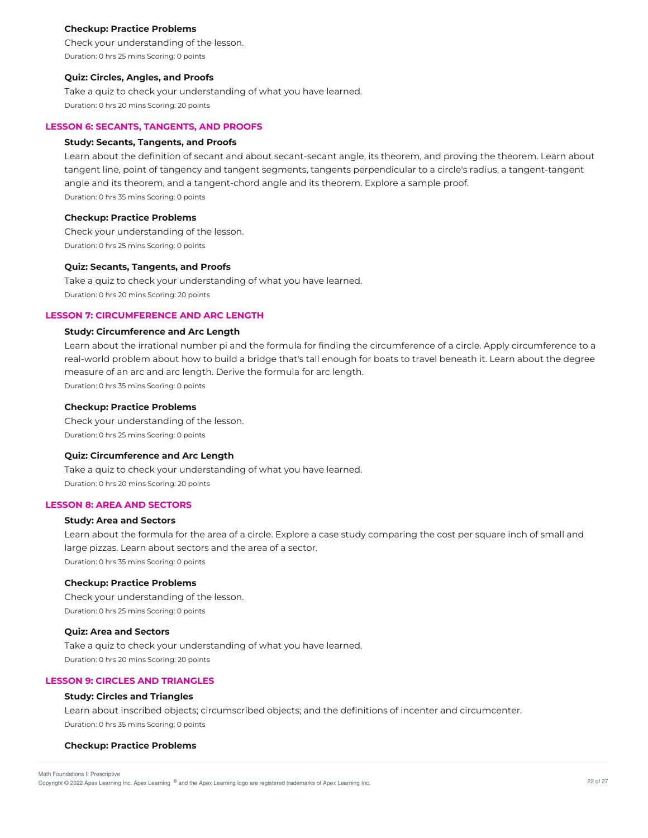#### **Checkup: Practice Problems**

Check your understanding of the lesson. Duration: 0 hrs 25 mins Scoring: 0 points

#### **Quiz: Circles, Angles, and Proofs**

Take a quiz to check your understanding of what you have learned. Duration: 0 hrs 20 mins Scoring: 20 points

#### **LESSON 6: SECANTS, TANGENTS, AND PROOFS**

### **Study: Secants, Tangents, and Proofs**

Learn about the definition of secant and about secant-secant angle, its theorem, and proving the theorem. Learn about tangent line, point of tangency and tangent segments, tangents perpendicular to a circle's radius, a tangent-tangent angle and its theorem, and a tangent-chord angle and its theorem. Explore a sample proof. Duration: 0 hrs 35 mins Scoring: 0 points

### **Checkup: Practice Problems**

Check your understanding of the lesson. Duration: 0 hrs 25 mins Scoring: 0 points

### **Quiz: Secants, Tangents, and Proofs**

Take a quiz to check your understanding of what you have learned. Duration: 0 hrs 20 mins Scoring: 20 points

## **LESSON 7: CIRCUMFERENCE AND ARC LENGTH**

## **Study: Circumference and Arc Length**

Learn about the irrational number pi and the formula for finding the circumference of a circle. Apply circumference to a real-world problem about how to build a bridge that's tall enough for boats to travel beneath it. Learn about the degree measure of an arc and arc length. Derive the formula for arc length. Duration: 0 hrs 35 mins Scoring: 0 points

#### **Checkup: Practice Problems**

Check your understanding of the lesson. Duration: 0 hrs 25 mins Scoring: 0 points

### **Quiz: Circumference and Arc Length**

Take a quiz to check your understanding of what you have learned. Duration: 0 hrs 20 mins Scoring: 20 points

### **LESSON 8: AREA AND SECTORS**

#### **Study: Area and Sectors**

Learn about the formula for the area of a circle. Explore a case study comparing the cost per square inch of small and large pizzas. Learn about sectors and the area of a sector. Duration: 0 hrs 35 mins Scoring: 0 points

#### **Checkup: Practice Problems**

Check your understanding of the lesson. Duration: 0 hrs 25 mins Scoring: 0 points

### **Quiz: Area and Sectors**

Take a quiz to check your understanding of what you have learned. Duration: 0 hrs 20 mins Scoring: 20 points

# **LESSON 9: CIRCLES AND TRIANGLES**

## **Study: Circles and Triangles**

Learn about inscribed objects; circumscribed objects; and the definitions of incenter and circumcenter. Duration: 0 hrs 35 mins Scoring: 0 points

#### **Checkup: Practice Problems**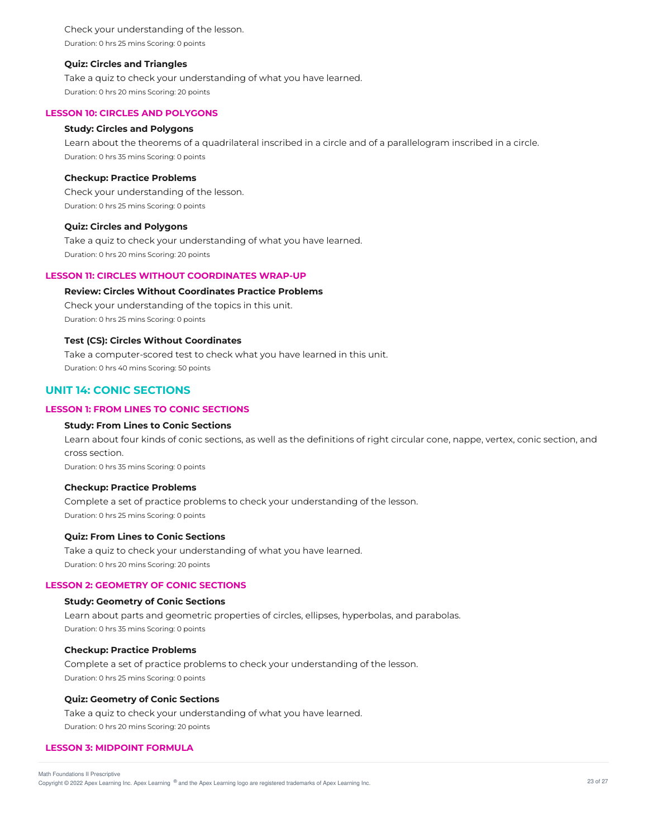Check your understanding of the lesson. Duration: 0 hrs 25 mins Scoring: 0 points

### **Quiz: Circles and Triangles**

Take a quiz to check your understanding of what you have learned. Duration: 0 hrs 20 mins Scoring: 20 points

### **LESSON 10: CIRCLES AND POLYGONS**

### **Study: Circles and Polygons**

Learn about the theorems of a quadrilateral inscribed in a circle and of a parallelogram inscribed in a circle. Duration: 0 hrs 35 mins Scoring: 0 points

### **Checkup: Practice Problems**

Check your understanding of the lesson. Duration: 0 hrs 25 mins Scoring: 0 points

## **Quiz: Circles and Polygons**

Take a quiz to check your understanding of what you have learned. Duration: 0 hrs 20 mins Scoring: 20 points

# **LESSON 11: CIRCLES WITHOUT COORDINATES WRAP-UP**

# **Review: Circles Without Coordinates Practice Problems**

Check your understanding of the topics in this unit. Duration: 0 hrs 25 mins Scoring: 0 points

### **Test (CS): Circles Without Coordinates**

Take a computer-scored test to check what you have learned in this unit. Duration: 0 hrs 40 mins Scoring: 50 points

# **UNIT 14: CONIC SECTIONS**

# **LESSON 1: FROM LINES TO CONIC SECTIONS**

## **Study: From Lines to Conic Sections**

Learn about four kinds of conic sections, as well as the definitions of right circular cone, nappe, vertex, conic section, and cross section. Duration: 0 hrs 35 mins Scoring: 0 points

#### **Checkup: Practice Problems**

Complete a set of practice problems to check your understanding of the lesson. Duration: 0 hrs 25 mins Scoring: 0 points

### **Quiz: From Lines to Conic Sections**

Take a quiz to check your understanding of what you have learned. Duration: 0 hrs 20 mins Scoring: 20 points

## **LESSON 2: GEOMETRY OF CONIC SECTIONS**

### **Study: Geometry of Conic Sections**

Learn about parts and geometric properties of circles, ellipses, hyperbolas, and parabolas. Duration: 0 hrs 35 mins Scoring: 0 points

#### **Checkup: Practice Problems**

Complete a set of practice problems to check your understanding of the lesson. Duration: 0 hrs 25 mins Scoring: 0 points

## **Quiz: Geometry of Conic Sections**

Take a quiz to check your understanding of what you have learned. Duration: 0 hrs 20 mins Scoring: 20 points

#### **LESSON 3: MIDPOINT FORMULA**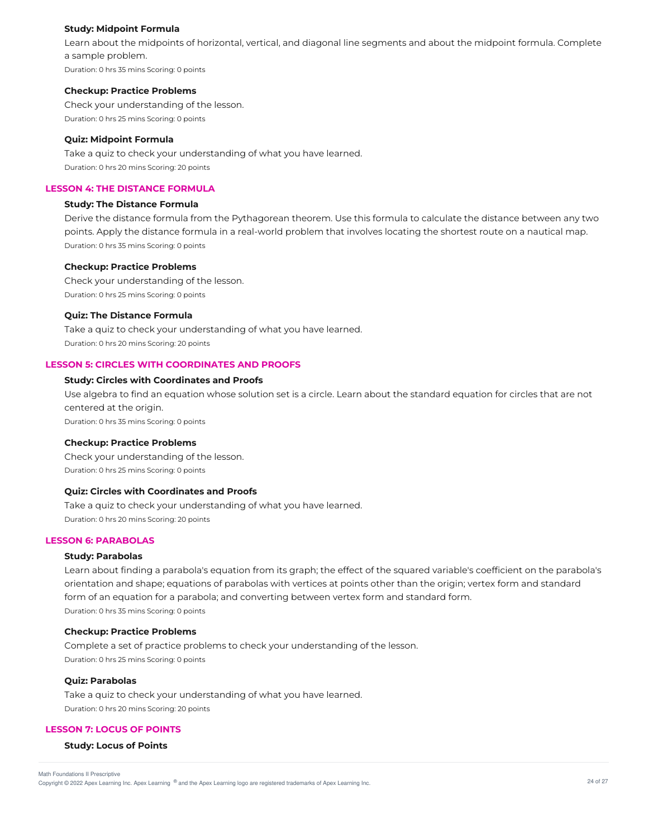### **Study: Midpoint Formula**

Learn about the midpoints of horizontal, vertical, and diagonal line segments and about the midpoint formula. Complete a sample problem. Duration: 0 hrs 35 mins Scoring: 0 points

#### **Checkup: Practice Problems**

Check your understanding of the lesson. Duration: 0 hrs 25 mins Scoring: 0 points

## **Quiz: Midpoint Formula**

Take a quiz to check your understanding of what you have learned. Duration: 0 hrs 20 mins Scoring: 20 points

### **LESSON 4: THE DISTANCE FORMULA**

## **Study: The Distance Formula**

Derive the distance formula from the Pythagorean theorem. Use this formula to calculate the distance between any two points. Apply the distance formula in a real-world problem that involves locating the shortest route on a nautical map. Duration: 0 hrs 35 mins Scoring: 0 points

#### **Checkup: Practice Problems**

Check your understanding of the lesson. Duration: 0 hrs 25 mins Scoring: 0 points

## **Quiz: The Distance Formula**

Take a quiz to check your understanding of what you have learned. Duration: 0 hrs 20 mins Scoring: 20 points

## **LESSON 5: CIRCLES WITH COORDINATES AND PROOFS**

## **Study: Circles with Coordinates and Proofs**

Use algebra to find an equation whose solution set is a circle. Learn about the standard equation for circles that are not centered at the origin.

Duration: 0 hrs 35 mins Scoring: 0 points

#### **Checkup: Practice Problems**

Check your understanding of the lesson. Duration: 0 hrs 25 mins Scoring: 0 points

#### **Quiz: Circles with Coordinates and Proofs**

Take a quiz to check your understanding of what you have learned. Duration: 0 hrs 20 mins Scoring: 20 points

## **LESSON 6: PARABOLAS**

#### **Study: Parabolas**

Learn about finding a parabola's equation from its graph; the effect of the squared variable's coefficient on the parabola's orientation and shape; equations of parabolas with vertices at points other than the origin; vertex form and standard form of an equation for a parabola; and converting between vertex form and standard form. Duration: 0 hrs 35 mins Scoring: 0 points

#### **Checkup: Practice Problems**

Complete a set of practice problems to check your understanding of the lesson. Duration: 0 hrs 25 mins Scoring: 0 points

### **Quiz: Parabolas**

Take a quiz to check your understanding of what you have learned. Duration: 0 hrs 20 mins Scoring: 20 points

#### **LESSON 7: LOCUS OF POINTS**

## **Study: Locus of Points**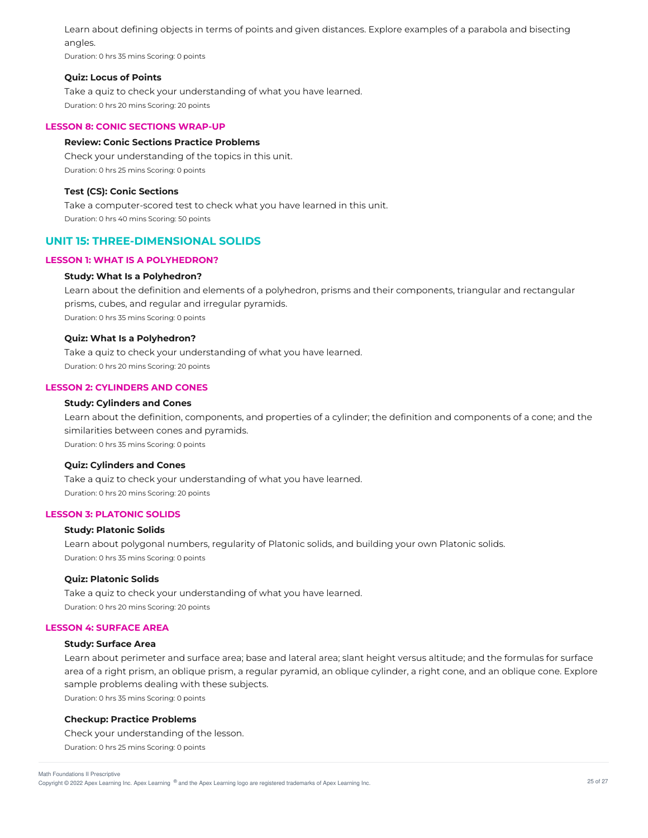Learn about defining objects in terms of points and given distances. Explore examples of a parabola and bisecting angles.

Duration: 0 hrs 35 mins Scoring: 0 points

#### **Quiz: Locus of Points**

Take a quiz to check your understanding of what you have learned. Duration: 0 hrs 20 mins Scoring: 20 points

### **LESSON 8: CONIC SECTIONS WRAP-UP**

### **Review: Conic Sections Practice Problems**

Check your understanding of the topics in this unit. Duration: 0 hrs 25 mins Scoring: 0 points

## **Test (CS): Conic Sections**

Take a computer-scored test to check what you have learned in this unit. Duration: 0 hrs 40 mins Scoring: 50 points

# **UNIT 15: THREE-DIMENSIONAL SOLIDS**

#### **LESSON 1: WHAT IS A POLYHEDRON?**

#### **Study: What Is a Polyhedron?**

Learn about the definition and elements of a polyhedron, prisms and their components, triangular and rectangular prisms, cubes, and regular and irregular pyramids. Duration: 0 hrs 35 mins Scoring: 0 points

### **Quiz: What Is a Polyhedron?**

Take a quiz to check your understanding of what you have learned. Duration: 0 hrs 20 mins Scoring: 20 points

# **LESSON 2: CYLINDERS AND CONES**

## **Study: Cylinders and Cones**

Learn about the definition, components, and properties of a cylinder; the definition and components of a cone; and the similarities between cones and pyramids. Duration: 0 hrs 35 mins Scoring: 0 points

#### **Quiz: Cylinders and Cones**

Take a quiz to check your understanding of what you have learned. Duration: 0 hrs 20 mins Scoring: 20 points

### **LESSON 3: PLATONIC SOLIDS**

#### **Study: Platonic Solids**

Learn about polygonal numbers, regularity of Platonic solids, and building your own Platonic solids. Duration: 0 hrs 35 mins Scoring: 0 points

#### **Quiz: Platonic Solids**

Take a quiz to check your understanding of what you have learned. Duration: 0 hrs 20 mins Scoring: 20 points

#### **LESSON 4: SURFACE AREA**

### **Study: Surface Area**

Learn about perimeter and surface area; base and lateral area; slant height versus altitude; and the formulas for surface area of a right prism, an oblique prism, a regular pyramid, an oblique cylinder, a right cone, and an oblique cone. Explore sample problems dealing with these subjects. Duration: 0 hrs 35 mins Scoring: 0 points

#### **Checkup: Practice Problems**

Check your understanding of the lesson. Duration: 0 hrs 25 mins Scoring: 0 points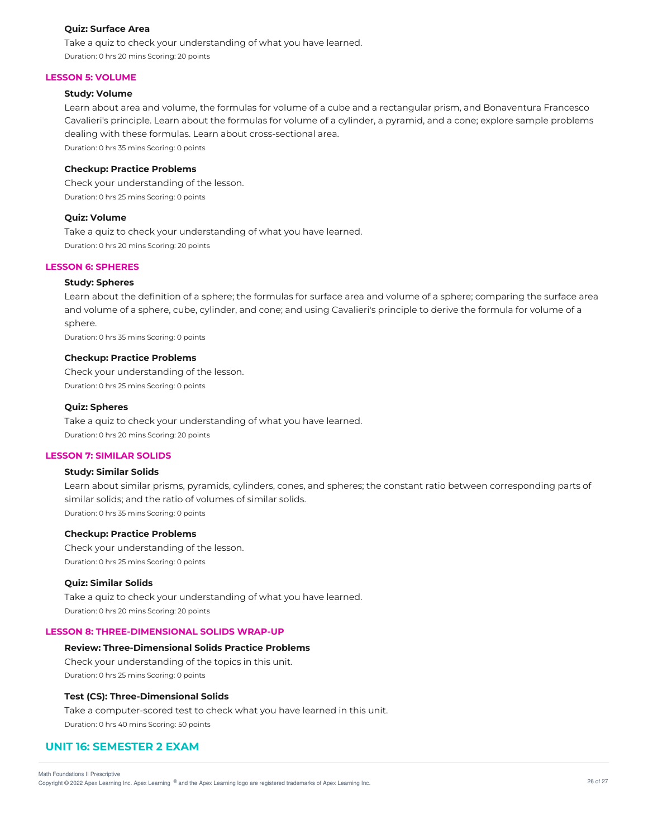#### **Quiz: Surface Area**

Take a quiz to check your understanding of what you have learned. Duration: 0 hrs 20 mins Scoring: 20 points

### **LESSON 5: VOLUME**

### **Study: Volume**

Learn about area and volume, the formulas for volume of a cube and a rectangular prism, and Bonaventura Francesco Cavalieri's principle. Learn about the formulas for volume of a cylinder, a pyramid, and a cone; explore sample problems dealing with these formulas. Learn about cross-sectional area.

Duration: 0 hrs 35 mins Scoring: 0 points

## **Checkup: Practice Problems**

Check your understanding of the lesson. Duration: 0 hrs 25 mins Scoring: 0 points

#### **Quiz: Volume**

Take a quiz to check your understanding of what you have learned. Duration: 0 hrs 20 mins Scoring: 20 points

## **LESSON 6: SPHERES**

## **Study: Spheres**

Learn about the definition of a sphere; the formulas for surface area and volume of a sphere; comparing the surface area and volume of a sphere, cube, cylinder, and cone; and using Cavalieri's principle to derive the formula for volume of a sphere.

Duration: 0 hrs 35 mins Scoring: 0 points

## **Checkup: Practice Problems**

Check your understanding of the lesson. Duration: 0 hrs 25 mins Scoring: 0 points

#### **Quiz: Spheres**

Take a quiz to check your understanding of what you have learned. Duration: 0 hrs 20 mins Scoring: 20 points

### **LESSON 7: SIMILAR SOLIDS**

## **Study: Similar Solids**

Learn about similar prisms, pyramids, cylinders, cones, and spheres; the constant ratio between corresponding parts of similar solids; and the ratio of volumes of similar solids. Duration: 0 hrs 35 mins Scoring: 0 points

### **Checkup: Practice Problems**

Check your understanding of the lesson. Duration: 0 hrs 25 mins Scoring: 0 points

#### **Quiz: Similar Solids**

Take a quiz to check your understanding of what you have learned. Duration: 0 hrs 20 mins Scoring: 20 points

### **LESSON 8: THREE-DIMENSIONAL SOLIDS WRAP-UP**

### **Review: Three-Dimensional Solids Practice Problems**

Check your understanding of the topics in this unit. Duration: 0 hrs 25 mins Scoring: 0 points

### **Test (CS): Three-Dimensional Solids**

Take a computer-scored test to check what you have learned in this unit. Duration: 0 hrs 40 mins Scoring: 50 points

# **UNIT 16: SEMESTER 2 EXAM**